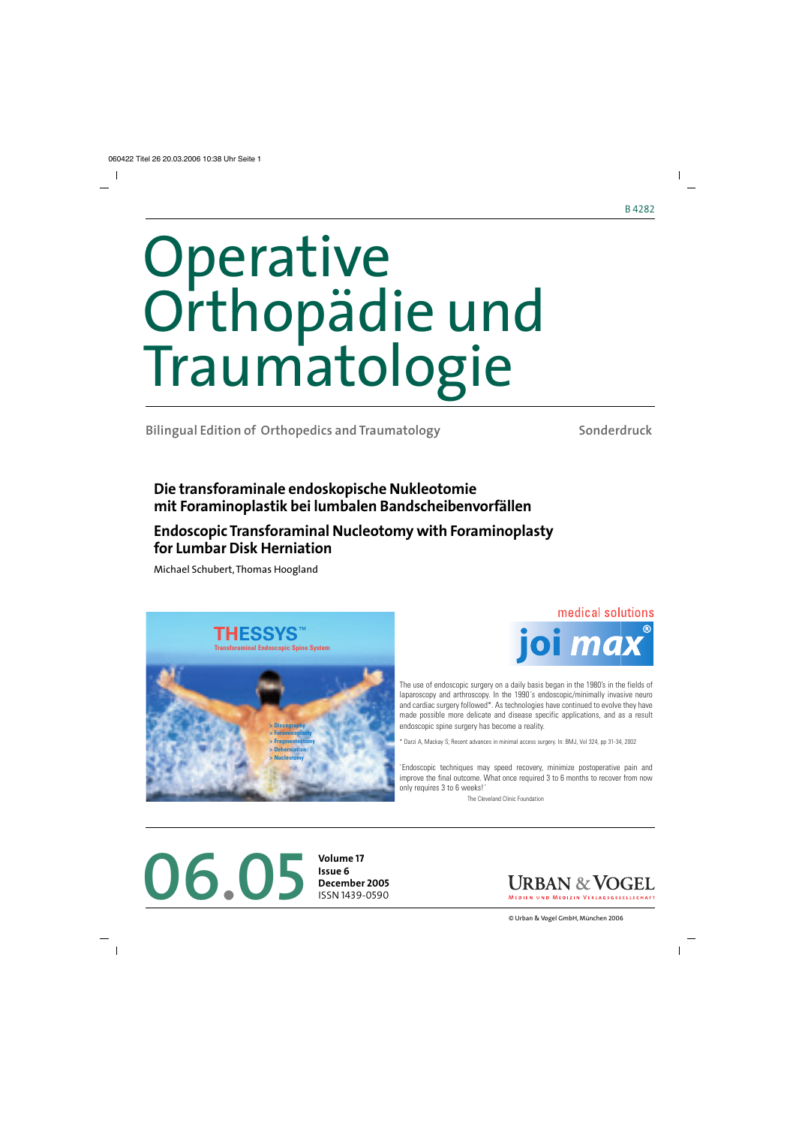# Operative Orthopädie und Traumatologie

**Bilingual Edition of Orthopedics and Traumatology**

**Sonderdruck**

## **Die transforaminale endoskopische Nukleotomie mit Foraminoplastik bei lumbalen Bandscheibenvorfällen**

# **Endoscopic Transforaminal Nucleotomy with Foraminoplasty for Lumbar Disk Herniation**

Michael Schubert, Thomas Hoogland





The use of endoscopic surgery on a daily basis began in the 1980's in the fields of laparoscopy and arthroscopy. In the 1990´s endoscopic/minimally invasive neuro and cardiac surgery followed\*. As technologies have continued to evolve they have made possible more delicate and disease specific applications, and as a result endoscopic spine surgery has become a reality.

\* Darzi A, Mackay S; Recent advances in minimal access surgery. In: BMJ, Vol 324, pp 31-34, 2002

`Endoscopic techniques may speed recovery, minimize postoperative pain and improve the final outcome. What once required 3 to 6 months to recover from now only requires 3 to 6 weeks!´

The Cleveland Clinic Foundation

# **06.05 Volume 17**<br>**December December**

**Issue 6 December 2005** ISSN 1439-0590

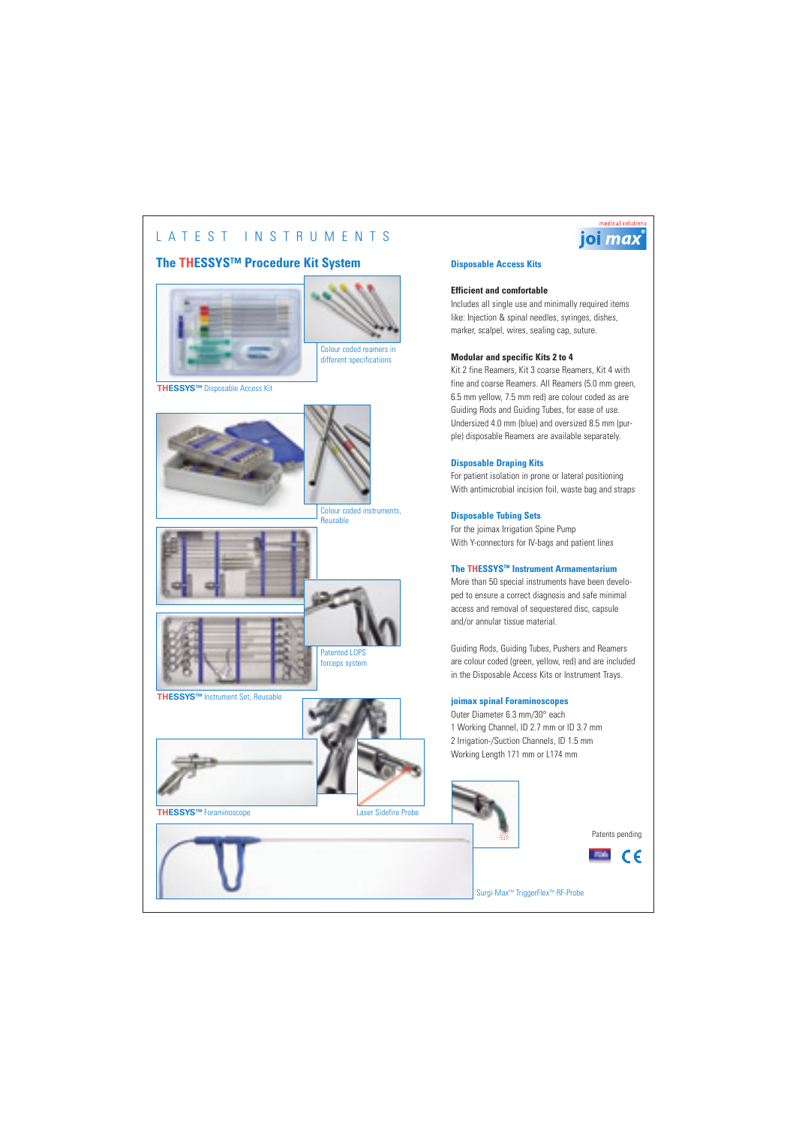## LATEST INSTRUMENTS

## **The THESSYS™ Procedure Kit System**



**THESSYSTM** Disposable Access Kit





Colour coded instruments, Reusable



**THESSYSTM** Instrument Set, Reusable



**THESSYSTM** Foraminoscope



Laser Sidefire Probe

### **Disposable Access Kits**

#### **Efficient and comfortable**

Includes all single use and minimally required items like: Injection & spinal needles, syringes, dishes, marker, scalpel, wires, sealing cap, suture.

#### **Modular and specific Kits 2 to 4**

Kit 2 fine Reamers, Kit 3 coarse Reamers, Kit 4 with fine and coarse Reamers. All Reamers (5.0 mm green, 6.5 mm yellow, 7.5 mm red) are colour coded as are Guiding Rods and Guiding Tubes, for ease of use. Undersized 4.0 mm (blue) and oversized 8.5 mm (purple) disposable Reamers are available separately.

#### **Disposable Draping Kits**

For patient isolation in prone or lateral positioning With antimicrobial incision foil, waste bag and straps

#### **Disposable Tubing Sets**

For the joimax Irrigation Spine Pump With Y-connectors for IV-bags and patient lines

### **The THESSYSTM Instrument Armamentarium**

More than 50 special instruments have been developed to ensure a correct diagnosis and safe minimal access and removal of sequestered disc, capsule and/or annular tissue material.

Guiding Rods, Guiding Tubes, Pushers and Reamers are colour coded (green, yellow, red) and are included in the Disposable Access Kits or Instrument Trays.

#### **joimax spinal Foraminoscopes**

Outer Diameter 6.3 mm/30° each 1 Working Channel, ID 2.7 mm or ID 3.7 mm 2 Irrigation-/Suction Channels, ID 1.5 mm Working Length 171 mm or L174 mm



Patents pending



Surgi-Max<sup>™</sup> TriggerFlex<sup>™</sup> RF-Probe

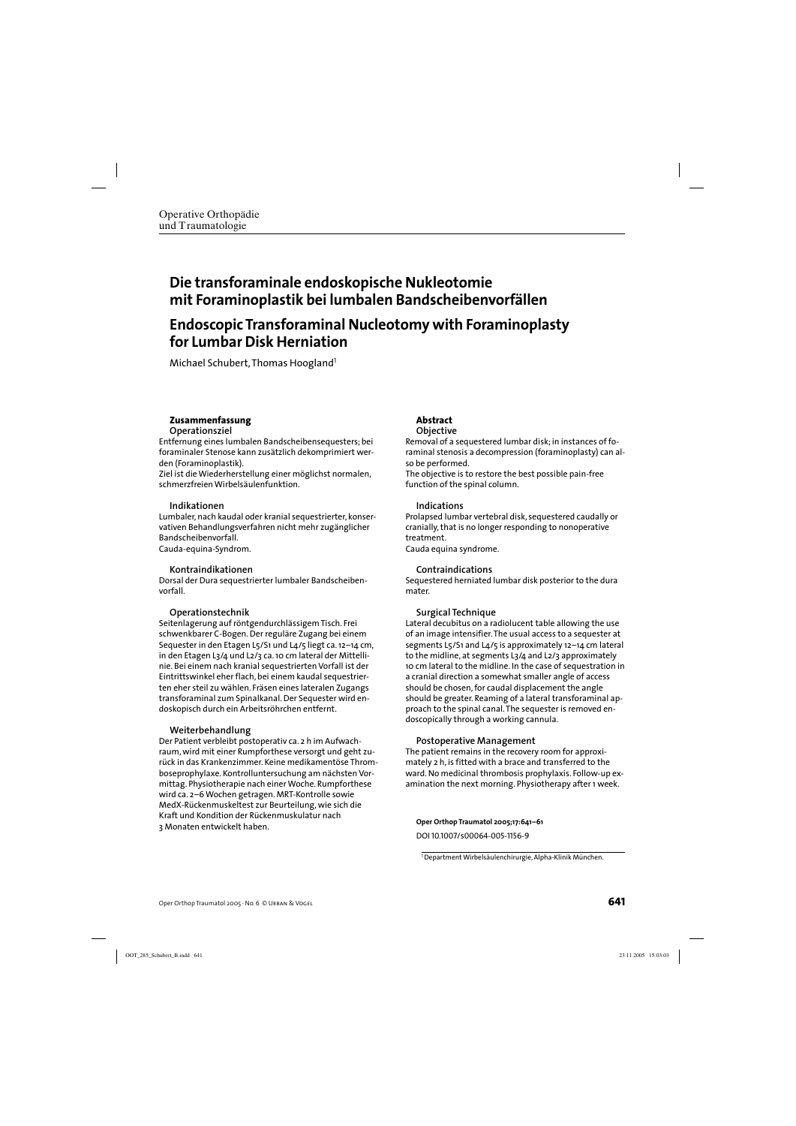## **Die transforaminale endoskopische Nukleotomie mit Foraminoplastik bei lumbalen Bandscheibenvorfällen**

## **Endoscopic Transforaminal Nucleotomy with Foraminoplasty for Lumbar Disk Herniation**

Michael Schubert, Thomas Hoogland<sup>1</sup>

#### **Zusammenfassung Operationsziel**

Entfernung eines lumbalen Bandscheibensequesters; bei foraminaler Stenose kann zusätzlich dekomprimiert werden (Foraminoplastik).

Ziel ist die Wiederherstellung einer möglichst normalen, schmerzfreien Wirbelsäulenfunktion.

#### **Indikationen**

Lumbaler, nach kaudal oder kranial sequestrierter, konservativen Behandlungsverfahren nicht mehr zugänglicher Bandscheibenvorfall. Cauda-equina-Syndrom.

#### **Kontraindikationen**

Dorsal der Dura sequestrierter lumbaler Bandscheibenvorfall.

### **Operationstechnik**

Seitenlagerung auf röntgendurchlässigem Tisch. Frei schwenkbarer C-Bogen. Der reguläre Zugang bei einem Sequester in den Etagen L5/S1 und L4/5 liegt ca. 12–14 cm, in den Etagen L3/4 und L2/3 ca. 10 cm lateral der Mittellinie. Bei einem nach kranial sequestrierten Vorfall ist der Eintrittswinkel eher flach, bei einem kaudal sequestrierten eher steil zu wählen. Fräsen eines lateralen Zugangs transforaminal zum Spinalkanal. Der Sequester wird endoskopisch durch ein Arbeitsröhrchen entfernt.

#### **Weiterbehandlung**

Der Patient verbleibt postoperativ ca. 2 h im Aufwachraum, wird mit einer Rumpforthese versorgt und geht zurück in das Krankenzimmer. Keine medikamentöse Thromboseprophylaxe. Kontrolluntersuchung am nächsten Vormittag. Physiotherapie nach einer Woche. Rumpforthese wird ca. 2–6 Wochen getragen. MRT-Kontrolle sowie MedX-Rückenmuskeltest zur Beurteilung, wie sich die Kraft und Kondition der Rückenmuskulatur nach 3 Monaten entwickelt haben.

#### **Abstract Objective**

Removal of a sequestered lumbar disk; in instances of foraminal stenosis a decompression (foraminoplasty) can also be performed.

The objective is to restore the best possible pain-free function of the spinal column.

#### **Indications**

Prolapsed lumbar vertebral disk, sequestered caudally or cranially, that is no longer responding to nonoperative treatment.

Cauda equina syndrome.

#### **Contraindications**

Sequestered herniated lumbar disk posterior to the dura mater.

### **Surgical Technique**

Lateral decubitus on a radiolucent table allowing the use of an image intensifier. The usual access to a sequester at segments L5/S1 and L4/5 is approximately 12–14 cm lateral to the midline, at segments L3/4 and L2/3 approximately 10 cm lateral to the midline. In the case of sequestration in a cranial direction a somewhat smaller angle of access should be chosen, for caudal displacement the angle should be greater. Reaming of a lateral transforaminal approach to the spinal canal. The sequester is removed endoscopically through a working cannula.

#### **Postoperative Management**

The patient remains in the recovery room for approximately 2 h, is fitted with a brace and transferred to the ward. No medicinal thrombosis prophylaxis. Follow-up examination the next morning. Physiotherapy after 1 week.

**Oper Orthop Traumatol 2005;17:641–61**

DOI 10.1007/s00064-005-1156-9

<sup>1</sup>Department Wirbelsäulenchirurgie, Alpha-Klinik München.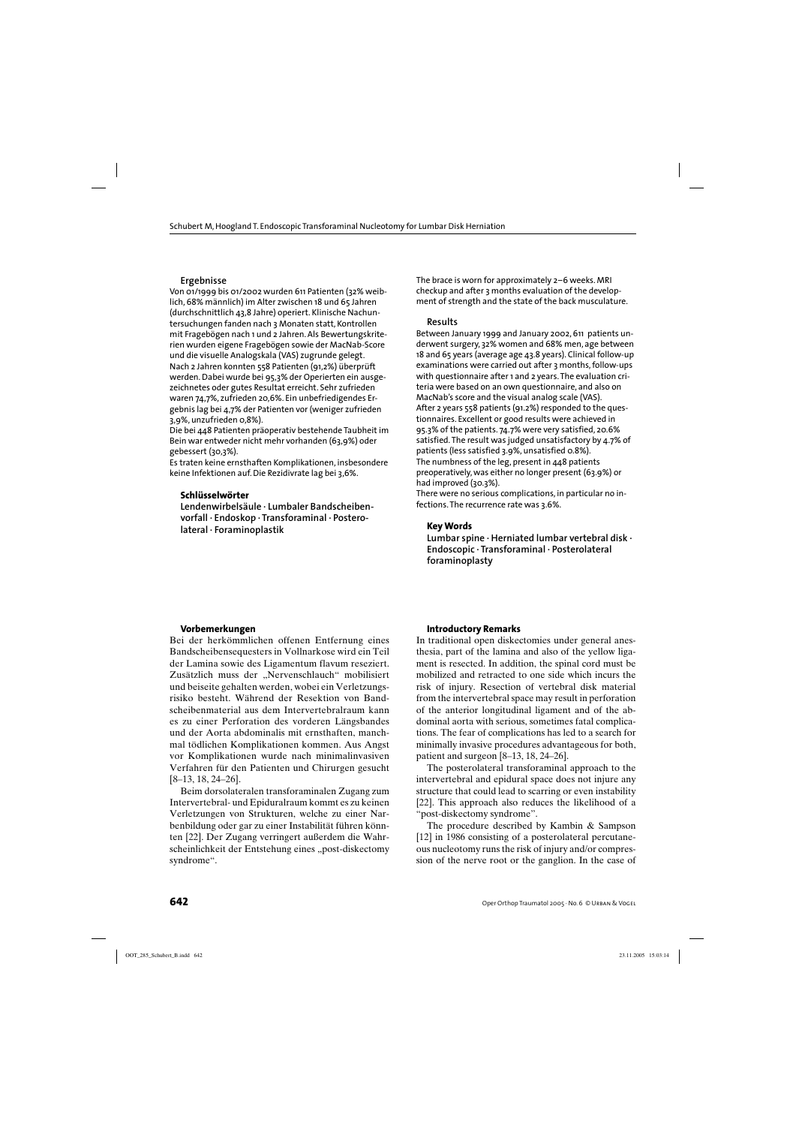#### **Ergebnisse**

Von 01/1999 bis 01/2002 wurden 611 Patienten (32% weiblich, 68% männlich) im Alter zwischen 18 und 65 Jahren (durchschnittlich 43,8 Jahre) operiert. Klinische Nachuntersuchungen fanden nach 3 Monaten statt, Kontrollen mit Fragebögen nach 1 und 2 Jahren. Als Bewertungskriterien wurden eigene Fragebögen sowie der MacNab-Score und die visuelle Analogskala (VAS) zugrunde gelegt. Nach 2 Jahren konnten 558 Patienten (91,2%) überprüft werden. Dabei wurde bei 95,3% der Operierten ein ausgezeichnetes oder gutes Resultat erreicht. Sehr zufrieden waren 74,7%, zufrieden 20,6%. Ein unbefriedigendes Ergebnis lag bei 4,7% der Patienten vor (weniger zufrieden 3,9%, unzufrieden 0,8%).

Die bei 448 Patienten präoperativ bestehende Taubheit im Bein war entweder nicht mehr vorhanden (63,9%) oder gebessert (30,3%).

Es traten keine ernsthaften Komplikationen, insbesondere keine Infektionen auf. Die Rezidivrate lag bei 3,6%.

#### **Schlüsselwörter**

**Lendenwirbelsäule · Lumbaler Bandscheibenvorfall · Endoskop · Transforaminal · Posterolateral · Foraminoplastik**

The brace is worn for approximately 2–6 weeks. MRI checkup and after 3 months evaluation of the development of strength and the state of the back musculature.

#### **Results**

Between January 1999 and January 2002, 611 patients underwent surgery, 32% women and 68% men, age between 18 and 65 years (average age 43.8 years). Clinical follow-up examinations were carried out after 3 months, follow-ups with questionnaire after 1 and 2 years. The evaluation criteria were based on an own questionnaire, and also on MacNab's score and the visual analog scale (VAS). After 2 years 558 patients (91.2%) responded to the questionnaires. Excellent or good results were achieved in 95.3% of the patients. 74.7% were very satisfied, 20.6% satisfied. The result was judged unsatisfactory by 4.7% of patients (less satisfied 3.9%, unsatisfied 0.8%). The numbness of the leg, present in 448 patients preoperatively, was either no longer present (63.9%) or had improved (30.3%).

There were no serious complications, in particular no infections. The recurrence rate was 3.6%.

#### **Key Words**

**Lumbar spine · Herniated lumbar vertebral disk · Endoscopic · Transforaminal · Posterolateral foraminoplasty**

#### **Vorbemerkungen**

Bei der herkömmlichen offenen Entfernung eines Bandscheibensequesters in Vollnarkose wird ein Teil der Lamina sowie des Ligamentum flavum reseziert. Zusätzlich muss der "Nervenschlauch" mobilisiert und beiseite gehalten werden, wobei ein Verletzungsrisiko besteht. Während der Resektion von Bandscheibenmaterial aus dem Intervertebralraum kann es zu einer Perforation des vorderen Längsbandes und der Aorta abdominalis mit ernsthaften, manchmal tödlichen Komplikationen kommen. Aus Angst vor Komplikationen wurde nach minimalinvasiven Verfahren für den Patienten und Chirurgen gesucht [8–13, 18, 24–26].

Beim dorsolateralen transforaminalen Zugang zum Intervertebral- und Epiduralraum kommt es zu keinen Verletzungen von Strukturen, welche zu einer Narbenbildung oder gar zu einer Instabilität führen könnten [22]. Der Zugang verringert außerdem die Wahrscheinlichkeit der Entstehung eines "post-diskectomy syndrome".

#### **Introductory Remarks**

In traditional open diskectomies under general anesthesia, part of the lamina and also of the yellow ligament is resected. In addition, the spinal cord must be mobilized and retracted to one side which incurs the risk of injury. Resection of vertebral disk material from the intervertebral space may result in perforation of the anterior longitudinal ligament and of the abdominal aorta with serious, sometimes fatal complications. The fear of complications has led to a search for minimally invasive procedures advantageous for both, patient and surgeon [8–13, 18, 24–26].

The posterolateral transforaminal approach to the intervertebral and epidural space does not injure any structure that could lead to scarring or even instability [22]. This approach also reduces the likelihood of a "post-diskectomy syndrome".

The procedure described by Kambin & Sampson [12] in 1986 consisting of a posterolateral percutaneous nucleotomy runs the risk of injury and/or compression of the nerve root or the ganglion. In the case of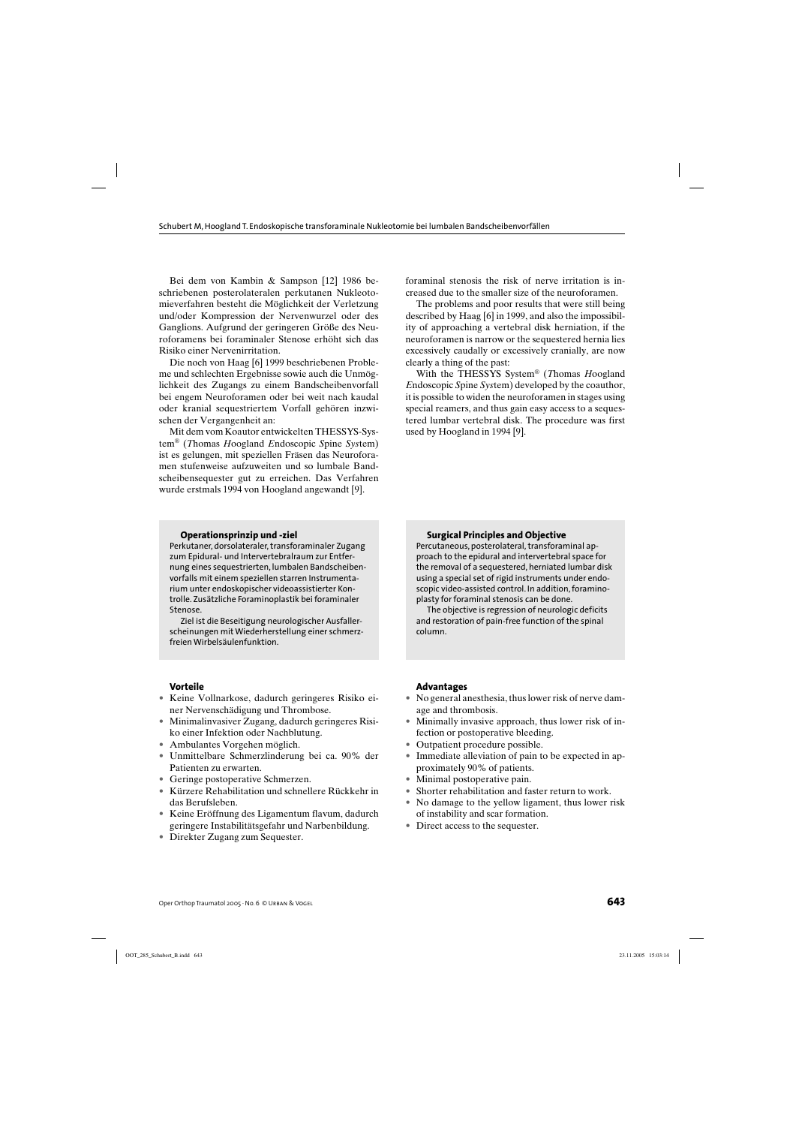Bei dem von Kambin & Sampson [12] 1986 beschriebenen posterolateralen perkutanen Nukleotomieverfahren besteht die Möglichkeit der Verletzung und/oder Kompression der Nervenwurzel oder des Ganglions. Aufgrund der geringeren Größe des Neuroforamens bei foraminaler Stenose erhöht sich das Risiko einer Nervenirritation.

Die noch von Haag [6] 1999 beschriebenen Probleme und schlechten Ergebnisse sowie auch die Unmöglichkeit des Zugangs zu einem Bandscheibenvorfall bei engem Neuroforamen oder bei weit nach kaudal oder kranial sequestriertem Vorfall gehören inzwischen der Vergangenheit an:

Mit dem vom Koautor entwickelten THESSYS-System® (*T*homas *H*oogland *E*ndoscopic *S*pine *Sys*tem) ist es gelungen, mit speziellen Fräsen das Neuroforamen stufenweise aufzuweiten und so lumbale Bandscheibensequester gut zu erreichen. Das Verfahren wurde erstmals 1994 von Hoogland angewandt [9].

**Operationsprinzip und -ziel**

Perkutaner, dorsolateraler, transforaminaler Zugang zum Epidural- und Intervertebralraum zur Entfernung eines sequestrierten, lumbalen Bandscheibenvorfalls mit einem speziellen starren Instrumentarium unter endoskopischer videoassistierter Kontrolle. Zusätzliche Foraminoplastik bei foraminaler Stenose.

Ziel ist die Beseitigung neurologischer Ausfallerscheinungen mit Wiederherstellung einer schmerzfreien Wirbelsäulenfunktion.

foraminal stenosis the risk of nerve irritation is increased due to the smaller size of the neuroforamen.

The problems and poor results that were still being described by Haag [6] in 1999, and also the impossibility of approaching a vertebral disk herniation, if the neuroforamen is narrow or the sequestered hernia lies excessively caudally or excessively cranially, are now clearly a thing of the past:

With the THESSYS System® (*T*homas *H*oogland *E*ndoscopic *S*pine *Sys*tem) developed by the coauthor, it is possible to widen the neuroforamen in stages using special reamers, and thus gain easy access to a sequestered lumbar vertebral disk. The procedure was first used by Hoogland in 1994 [9].

#### **Surgical Principles and Objective**

Percutaneous, posterolateral, transforaminal approach to the epidural and intervertebral space for the removal of a sequestered, herniated lumbar disk using a special set of rigid instruments under endoscopic video-assisted control. In addition, foraminoplasty for foraminal stenosis can be done.

The objective is regression of neurologic deficits and restoration of pain-free function of the spinal column.

#### **Vorteile**

- Keine Vollnarkose, dadurch geringeres Risiko einer Nervenschädigung und Thrombose.
- Minimalinvasiver Zugang, dadurch geringeres Risiko einer Infektion oder Nachblutung.
- Ambulantes Vorgehen möglich.
- Unmittelbare Schmerzlinderung bei ca. 90% der Patienten zu erwarten.
- Geringe postoperative Schmerzen.
- Kürzere Rehabilitation und schnellere Rückkehr in das Berufsleben.
- Keine Eröffnung des Ligamentum flavum, dadurch geringere Instabilitätsgefahr und Narbenbildung.
- Direkter Zugang zum Sequester.

#### **Advantages**

- No general anesthesia, thus lower risk of nerve damage and thrombosis.
- Minimally invasive approach, thus lower risk of infection or postoperative bleeding.
- Outpatient procedure possible.
- Immediate alleviation of pain to be expected in approximately 90% of patients.
- Minimal postoperative pain.
- Shorter rehabilitation and faster return to work.
- No damage to the yellow ligament, thus lower risk of instability and scar formation.
- Direct access to the sequester.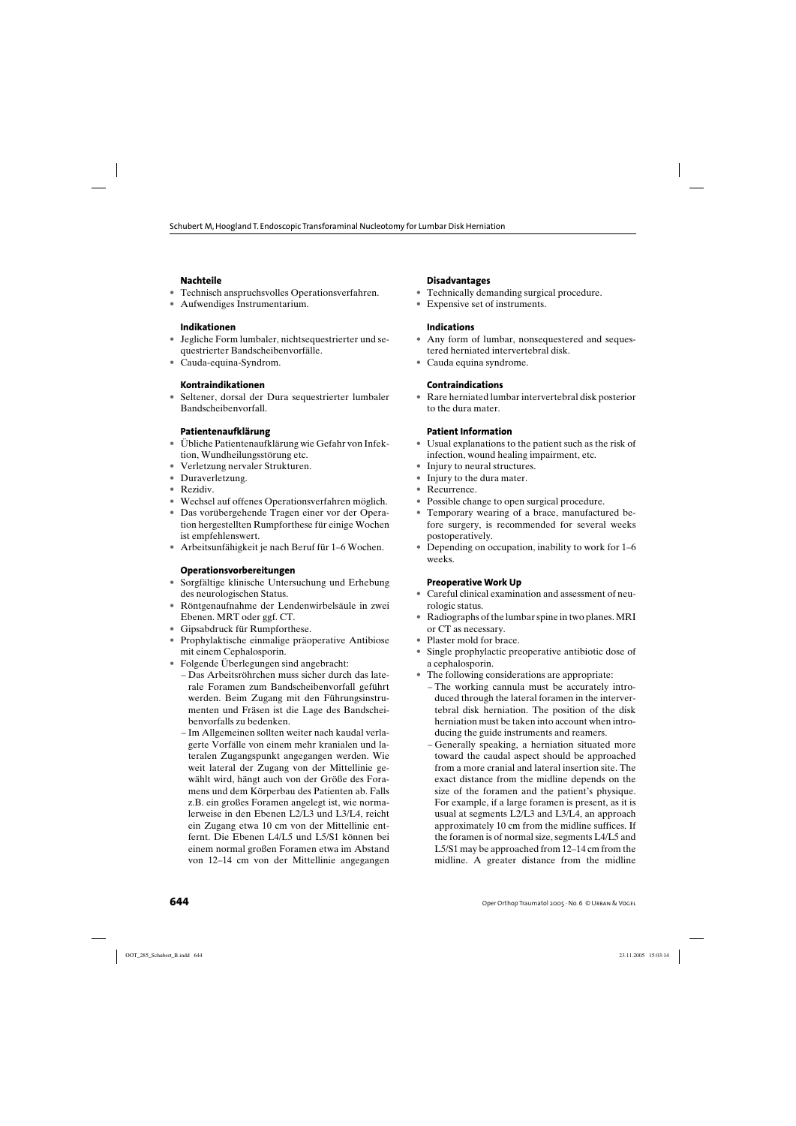### **Nachteile**

- Technisch anspruchsvolles Operationsverfahren.
- Aufwendiges Instrumentarium.

### **Indikationen**

- Jegliche Form lumbaler, nichtsequestrierter und sequestrierter Bandscheibenvorfälle.
- Cauda-equina-Syndrom.

## **Kontraindikationen**

• Seltener, dorsal der Dura sequestrierter lumbaler Bandscheibenvorfall.

## **Patientenaufklärung**

- Übliche Patientenaufklärung wie Gefahr von Infektion, Wundheilungsstörung etc.
- Verletzung nervaler Strukturen.
- Duraverletzung.
- Rezidiv.
- Wechsel auf offenes Operationsverfahren möglich.
- Das vorübergehende Tragen einer vor der Operation hergestellten Rumpforthese für einige Wochen ist empfehlenswert.
- Arbeitsunfähigkeit je nach Beruf für 1–6 Wochen.

### **Operationsvorbereitungen**

- Sorgfältige klinische Untersuchung und Erhebung des neurologischen Status.
- Röntgenaufnahme der Lendenwirbelsäule in zwei Ebenen. MRT oder ggf. CT.
- Gipsabdruck für Rumpforthese.
- Prophylaktische einmalige präoperative Antibiose mit einem Cephalosporin.
- Folgende Überlegungen sind angebracht:
	- Das Arbeitsröhrchen muss sicher durch das laterale Foramen zum Bandscheibenvorfall geführt werden. Beim Zugang mit den Führungsinstrumenten und Fräsen ist die Lage des Bandscheibenvorfalls zu bedenken.
	- Im Allgemeinen sollten weiter nach kaudal verlagerte Vorfälle von einem mehr kranialen und lateralen Zugangspunkt angegangen werden. Wie weit lateral der Zugang von der Mittellinie gewählt wird, hängt auch von der Größe des Foramens und dem Körperbau des Patienten ab. Falls z.B. ein großes Foramen angelegt ist, wie normalerweise in den Ebenen L2/L3 und L3/L4, reicht ein Zugang etwa 10 cm von der Mittellinie entfernt. Die Ebenen L4/L5 und L5/S1 können bei einem normal großen Foramen etwa im Abstand von 12–14 cm von der Mittellinie angegangen

#### **Disadvantages**

- Technically demanding surgical procedure.
- Expensive set of instruments.

### **Indications**

- Any form of lumbar, nonsequestered and sequestered herniated intervertebral disk.
- Cauda equina syndrome.

### **Contraindications**

• Rare herniated lumbar intervertebral disk posterior to the dura mater.

### **Patient Information**

- Usual explanations to the patient such as the risk of infection, wound healing impairment, etc.
- Injury to neural structures.
- Injury to the dura mater.
- Recurrence.
- Possible change to open surgical procedure.
- Temporary wearing of a brace, manufactured before surgery, is recommended for several weeks postoperatively.
- Depending on occupation, inability to work for 1–6 weeks.

#### **Preoperative Work Up**

- Careful clinical examination and assessment of neurologic status.
- Radiographs of the lumbar spine in two planes. MRI or CT as necessary.
- Plaster mold for brace.
- Single prophylactic preoperative antibiotic dose of a cephalosporin.
- The following considerations are appropriate:
	- The working cannula must be accurately introduced through the lateral foramen in the intervertebral disk herniation. The position of the disk herniation must be taken into account when introducing the guide instruments and reamers.
	- Generally speaking, a herniation situated more toward the caudal aspect should be approached from a more cranial and lateral insertion site. The exact distance from the midline depends on the size of the foramen and the patient's physique. For example, if a large foramen is present, as it is usual at segments L2/L3 and L3/L4, an approach approximately 10 cm from the midline suffices. If the foramen is of normal size, segments L4/L5 and L5/S1 may be approached from 12–14 cm from the midline. A greater distance from the midline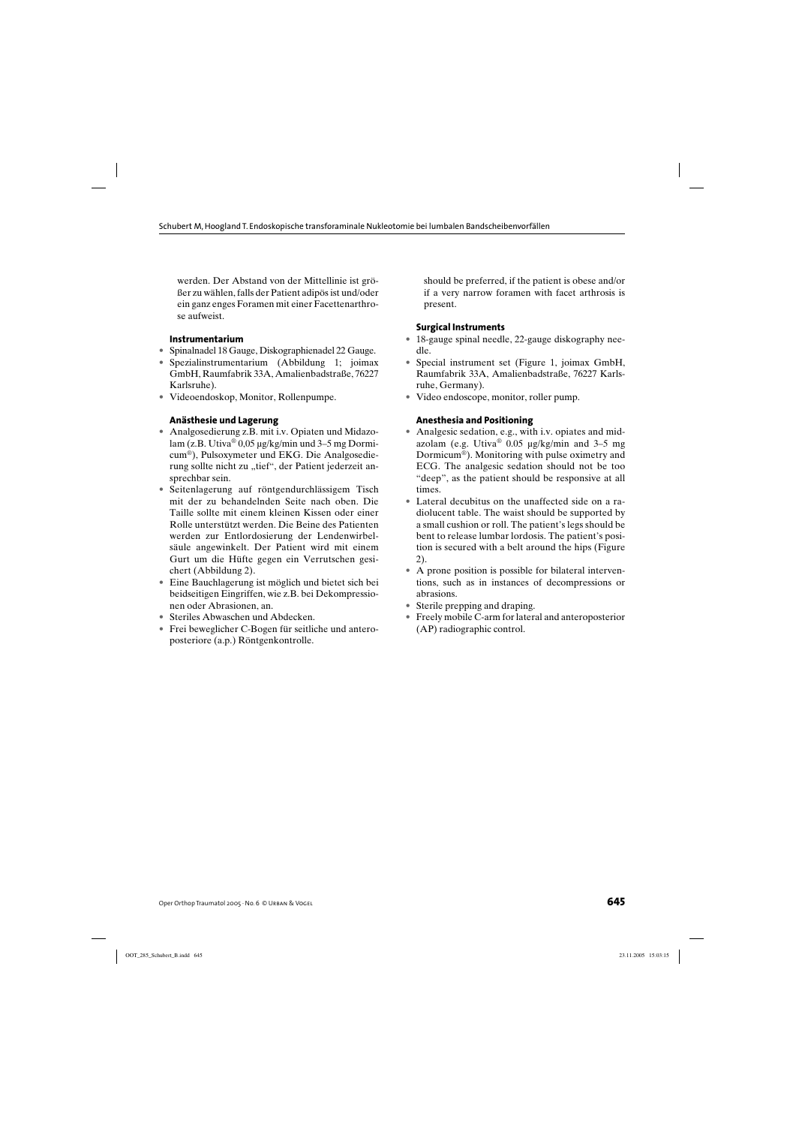werden. Der Abstand von der Mittellinie ist größer zu wählen, falls der Patient adipös ist und/oder ein ganz enges Foramen mit einer Facettenarthrose aufweist.

#### **Instrumentarium**

- Spinalnadel 18 Gauge, Diskographienadel 22 Gauge.
- Spezialinstrumentarium (Abbildung 1; joimax GmbH, Raumfabrik 33A, Amalienbadstraße, 76227 Karlsruhe).
- Videoendoskop, Monitor, Rollenpumpe.

### **Anästhesie und Lagerung**

- Analgosedierung z.B. mit i.v. Opiaten und Midazolam (z.B. Utiva® 0,05 µg/kg/min und 3–5 mg Dormicum®), Pulsoxymeter und EKG. Die Analgosedierung sollte nicht zu "tief", der Patient jederzeit ansprechbar sein.
- Seitenlagerung auf röntgendurchlässigem Tisch mit der zu behandelnden Seite nach oben. Die Taille sollte mit einem kleinen Kissen oder einer Rolle unterstützt werden. Die Beine des Patienten werden zur Entlordosierung der Lendenwirbelsäule angewinkelt. Der Patient wird mit einem Gurt um die Hüfte gegen ein Verrutschen gesichert (Abbildung 2).
- Eine Bauchlagerung ist möglich und bietet sich bei beidseitigen Eingriffen, wie z.B. bei Dekompressionen oder Abrasionen, an.
- Steriles Abwaschen und Abdecken.
- Frei beweglicher C-Bogen für seitliche und anteroposteriore (a.p.) Röntgenkontrolle.

should be preferred, if the patient is obese and/or if a very narrow foramen with facet arthrosis is present.

#### **Surgical Instruments**

- 18-gauge spinal needle, 22-gauge diskography needle.
- Special instrument set (Figure 1, joimax GmbH, Raumfabrik 33A, Amalienbadstraße, 76227 Karlsruhe, Germany).
- Video endoscope, monitor, roller pump.

#### **Anesthesia and Positioning**

- Analgesic sedation, e.g., with i.v. opiates and midazolam (e.g. Utiva® 0.05 µg/kg/min and 3–5 mg Dormicum®). Monitoring with pulse oximetry and ECG. The analgesic sedation should not be too "deep", as the patient should be responsive at all times.
- Lateral decubitus on the unaffected side on a radiolucent table. The waist should be supported by a small cushion or roll. The patient's legs should be bent to release lumbar lordosis. The patient's position is secured with a belt around the hips (Figure 2).
- A prone position is possible for bilateral interventions, such as in instances of decompressions or abrasions.
- Sterile prepping and draping.
- Freely mobile C-arm for lateral and anteroposterior (AP) radiographic control.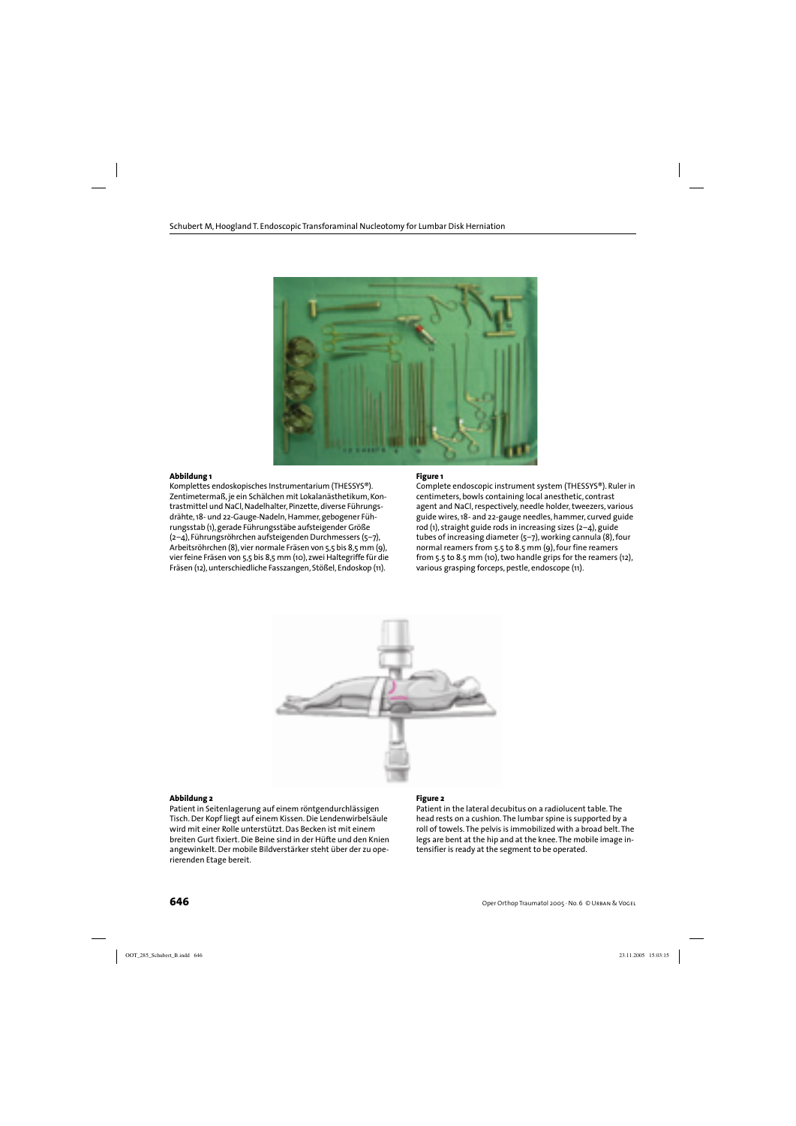

#### **Abbildung 1**

Komplettes endoskopisches Instrumentarium (THESSYS®). Zentimetermaß, je ein Schälchen mit Lokalanästhetikum, Kontrastmittel und NaCl, Nadelhalter, Pinzette, diverse Führungsdrähte, 18- und 22-Gauge-Nadeln, Hammer, gebogener Führungsstab (1), gerade Führungsstäbe aufsteigender Größe (2–4), Führungsröhrchen aufsteigenden Durchmessers (5–7), Arbeitsröhrchen (8), vier normale Fräsen von 5,5 bis 8,5 mm (9), vier feine Fräsen von 5,5 bis 8,5 mm (10), zwei Haltegriffe für die Fräsen (12), unterschiedliche Fasszangen, Stößel, Endoskop (11).

#### **Figure 1**

Complete endoscopic instrument system (THESSYS®). Ruler in centimeters, bowls containing local anesthetic, contrast agent and NaCl, respectively, needle holder, tweezers, various guide wires, 18- and 22-gauge needles, hammer, curved guide rod (1), straight guide rods in increasing sizes  $(2-4)$ , guide tubes of increasing diameter (5–7), working cannula (8), four normal reamers from 5.5 to 8.5 mm (9), four fine reamers from 5.5 to 8.5 mm (10), two handle grips for the reamers (12), various grasping forceps, pestle, endoscope (11).



#### **Abbildung 2**

Patient in Seitenlagerung auf einem röntgendurchlässigen Tisch. Der Kopf liegt auf einem Kissen. Die Lendenwirbelsäule wird mit einer Rolle unterstützt. Das Becken ist mit einem breiten Gurt fixiert. Die Beine sind in der Hüfte und den Knien angewinkelt. Der mobile Bildverstärker steht über der zu operierenden Etage bereit.

#### **Figure 2**

Patient in the lateral decubitus on a radiolucent table. The head rests on a cushion. The lumbar spine is supported by a roll of towels. The pelvis is immobilized with a broad belt. The legs are bent at the hip and at the knee. The mobile image intensifier is ready at the segment to be operated.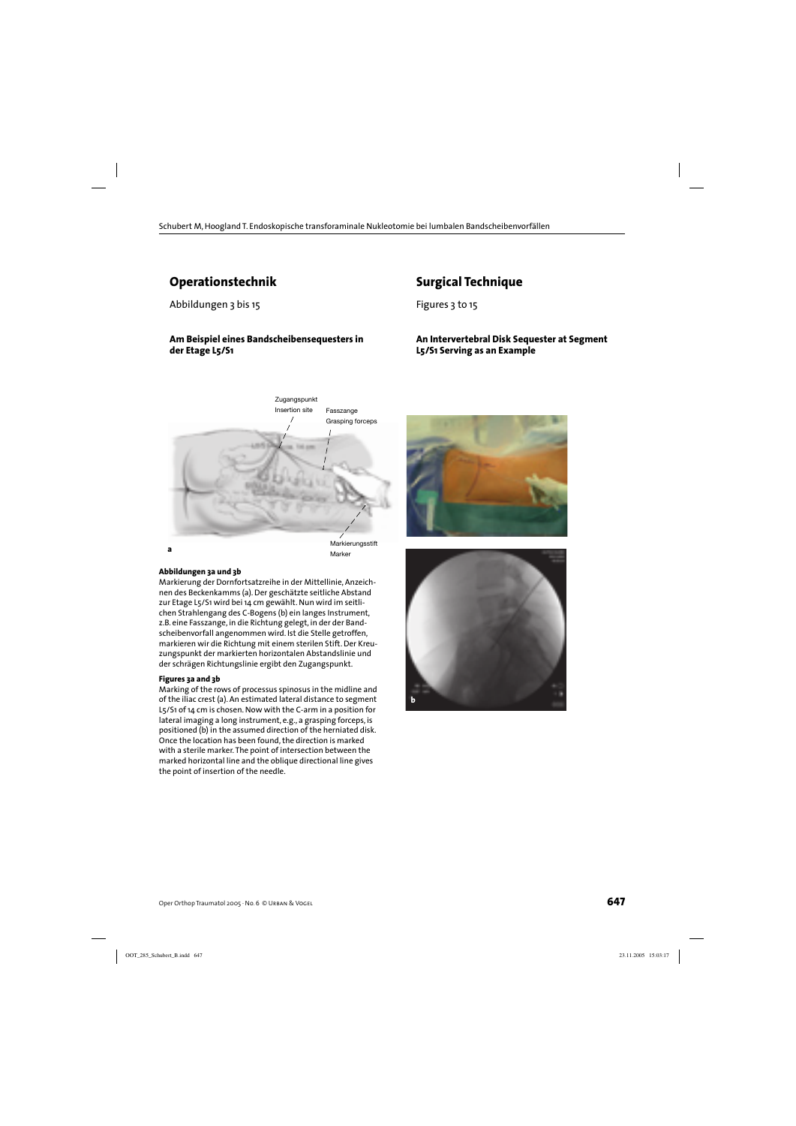## **Operationstechnik**

Abbildungen 3 bis 15

#### **Am Beispiel eines Bandscheibensequesters in der Etage L5/S1**



#### **Abbildungen 3a und 3b**

Markierung der Dornfortsatzreihe in der Mittellinie, Anzeichnen des Beckenkamms (a). Der geschätzte seitliche Abstand zur Etage L5/S1 wird bei 14 cm gewählt. Nun wird im seitlichen Strahlengang des C-Bogens (b) ein langes Instrument, z.B. eine Fasszange, in die Richtung gelegt, in der der Bandscheibenvorfall angenommen wird. Ist die Stelle getroffen, markieren wir die Richtung mit einem sterilen Stift. Der Kreuzungspunkt der markierten horizontalen Abstandslinie und der schrägen Richtungslinie ergibt den Zugangspunkt.

#### **Figures 3a and 3b**

Marking of the rows of processus spinosus in the midline and of the iliac crest (a). An estimated lateral distance to segment L5/S1 of 14 cm is chosen. Now with the C-arm in a position for lateral imaging a long instrument, e.g., a grasping forceps, is positioned (b) in the assumed direction of the herniated disk. Once the location has been found, the direction is marked with a sterile marker. The point of intersection between the marked horizontal line and the oblique directional line gives the point of insertion of the needle.



**An Intervertebral Disk Sequester at Segment** 

**Surgical Technique**

**L5/S1 Serving as an Example**

Figures 3 to 15

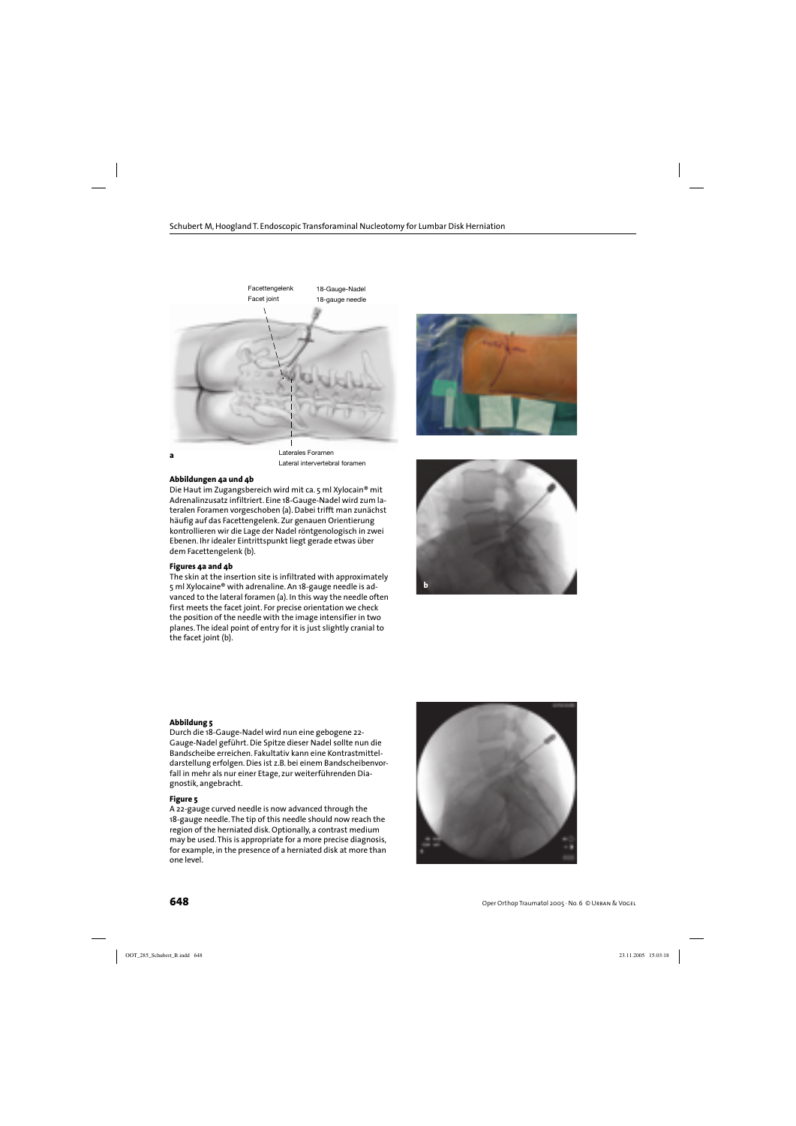



Laterales Foramen Lateral intervertebral foramen

#### **Abbildungen 4a und 4b**

Die Haut im Zugangsbereich wird mit ca. 5 ml Xylocain® mit Adrenalinzusatz infiltriert. Eine 18-Gauge-Nadel wird zum lateralen Foramen vorgeschoben (a). Dabei trifft man zunächst häufig auf das Facettengelenk. Zur genauen Orientierung kontrollieren wir die Lage der Nadel röntgenologisch in zwei Ebenen. Ihr idealer Eintrittspunkt liegt gerade etwas über dem Facettengelenk (b).

#### **Figures 4a and 4b**

The skin at the insertion site is infiltrated with approximately 5 ml Xylocaine® with adrenaline. An 18-gauge needle is advanced to the lateral foramen (a). In this way the needle often first meets the facet joint. For precise orientation we check the position of the needle with the image intensifier in two planes. The ideal point of entry for it is just slightly cranial to the facet joint (b).





#### **Abbildung 5**

Durch die 18-Gauge-Nadel wird nun eine gebogene 22- Gauge-Nadel geführt. Die Spitze dieser Nadel sollte nun die Bandscheibe erreichen. Fakultativ kann eine Kontrastmitteldarstellung erfolgen. Dies ist z.B. bei einem Bandscheibenvorfall in mehr als nur einer Etage, zur weiterführenden Diagnostik, angebracht.

#### **Figure 5**

A 22-gauge curved needle is now advanced through the 18-gauge needle. The tip of this needle should now reach the region of the herniated disk. Optionally, a contrast medium may be used. This is appropriate for a more precise diagnosis, for example, in the presence of a herniated disk at more than one level.

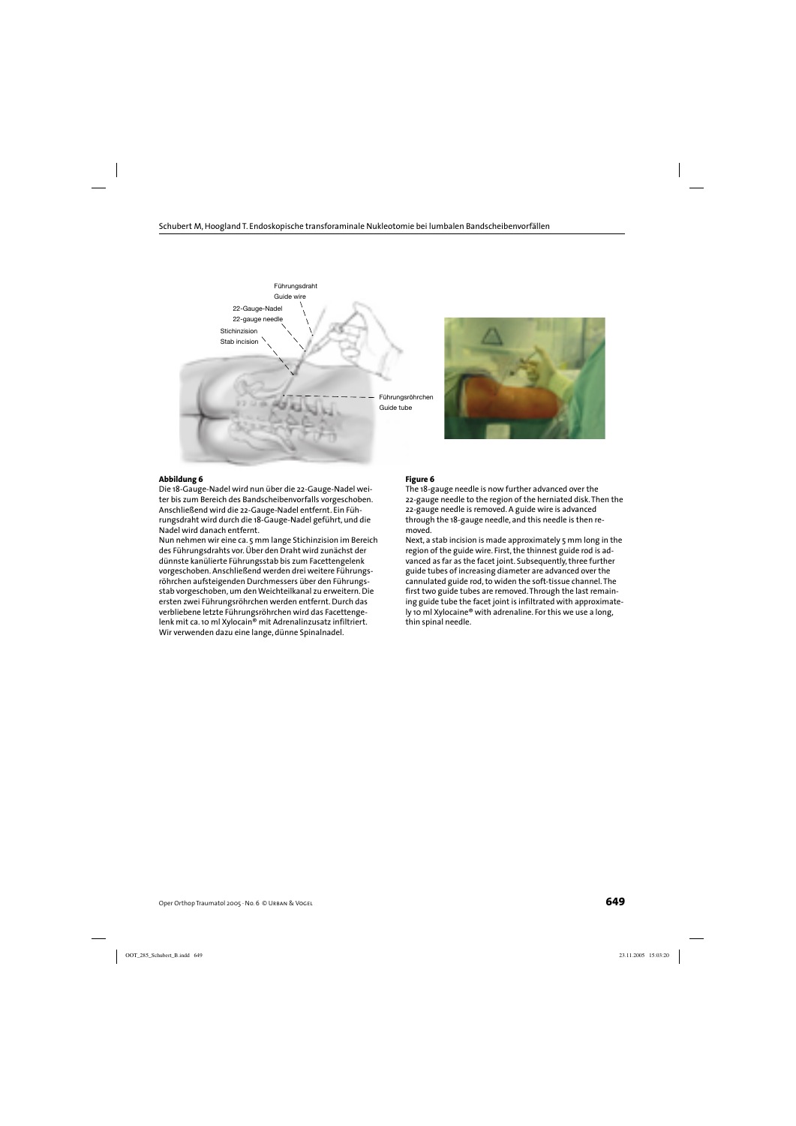



#### **Abbildung 6**

Die 18-Gauge-Nadel wird nun über die 22-Gauge-Nadel weiter bis zum Bereich des Bandscheibenvorfalls vorgeschoben. Anschließend wird die 22-Gauge-Nadel entfernt. Ein Führungsdraht wird durch die 18-Gauge-Nadel geführt, und die Nadel wird danach entfernt.

Nun nehmen wir eine ca. 5 mm lange Stichinzision im Bereich des Führungsdrahts vor. Über den Draht wird zunächst der dünnste kanülierte Führungsstab bis zum Facettengelenk vorgeschoben. Anschließend werden drei weitere Führungsröhrchen aufsteigenden Durchmessers über den Führungsstab vorgeschoben, um den Weichteilkanal zu erweitern. Die ersten zwei Führungsröhrchen werden entfernt. Durch das verbliebene letzte Führungsröhrchen wird das Facettengelenk mit ca. 10 ml Xylocain® mit Adrenalinzusatz infiltriert. Wir verwenden dazu eine lange, dünne Spinalnadel.

#### **Figure 6**

The 18-gauge needle is now further advanced over the 22-gauge needle to the region of the herniated disk. Then the 22-gauge needle is removed. A guide wire is advanced through the 18-gauge needle, and this needle is then removed.

Next, a stab incision is made approximately 5 mm long in the region of the guide wire. First, the thinnest guide rod is advanced as far as the facet joint. Subsequently, three further guide tubes of increasing diameter are advanced over the cannulated guide rod, to widen the soft-tissue channel. The first two guide tubes are removed. Through the last remaining guide tube the facet joint is infiltrated with approximately 10 ml Xylocaine® with adrenaline. For this we use a long, thin spinal needle.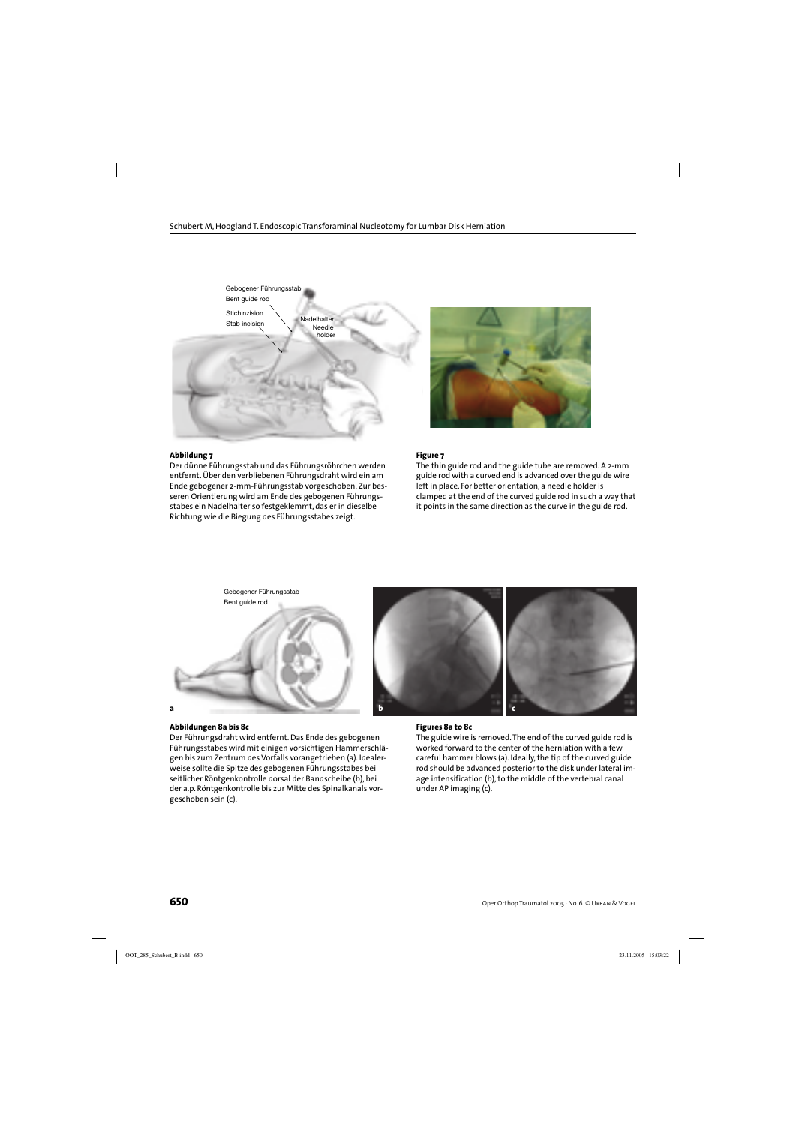

#### **Abbildung 7**

Der dünne Führungsstab und das Führungsröhrchen werden entfernt. Über den verbliebenen Führungsdraht wird ein am Ende gebogener 2-mm-Führungsstab vorgeschoben. Zur besseren Orientierung wird am Ende des gebogenen Führungsstabes ein Nadelhalter so festgeklemmt, das er in dieselbe Richtung wie die Biegung des Führungsstabes zeigt.



#### **Figure 7**

The thin guide rod and the guide tube are removed. A 2-mm guide rod with a curved end is advanced over the guide wire left in place. For better orientation, a needle holder is clamped at the end of the curved guide rod in such a way that it points in the same direction as the curve in the guide rod.



#### **Abbildungen 8a bis 8c**

Der Führungsdraht wird entfernt. Das Ende des gebogenen Führungsstabes wird mit einigen vorsichtigen Hammerschlägen bis zum Zentrum des Vorfalls vorangetrieben (a). Idealerweise sollte die Spitze des gebogenen Führungsstabes bei seitlicher Röntgenkontrolle dorsal der Bandscheibe (b), bei der a.p. Röntgenkontrolle bis zur Mitte des Spinalkanals vorgeschoben sein (c).

#### **Figures 8a to 8c**

The guide wire is removed. The end of the curved guide rod is worked forward to the center of the herniation with a few careful hammer blows (a). Ideally, the tip of the curved guide rod should be advanced posterior to the disk under lateral image intensification (b), to the middle of the vertebral canal under AP imaging (c).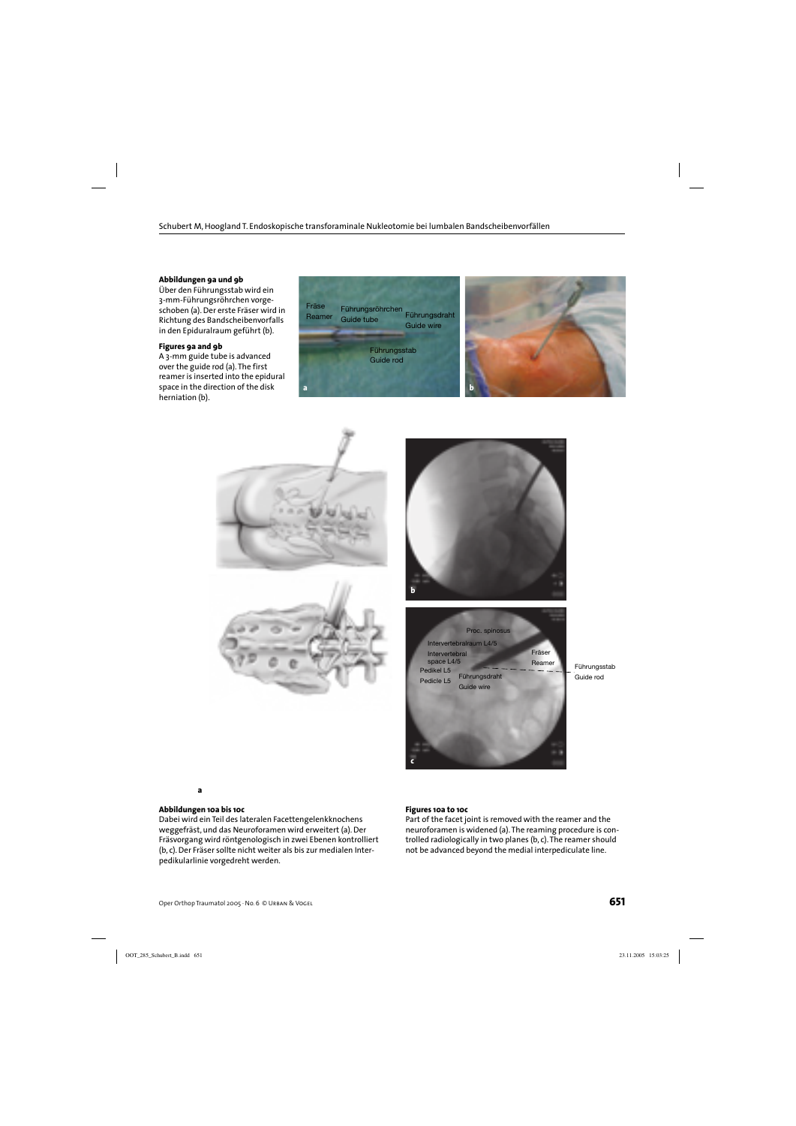#### **Abbildungen 9a und 9b**

Über den Führungsstab wird ein 3-mm-Führungsröhrchen vorgeschoben (a). Der erste Fräser wird in Richtung des Bandscheibenvorfalls in den Epiduralraum geführt (b).

#### **Figures 9a and 9b**

A 3-mm guide tube is advanced over the guide rod (a). The first reamer is inserted into the epidural space in the direction of the disk herniation (b).











Guide rod

#### **Abbildungen 10a bis 10c**

**a**

Dabei wird ein Teil des lateralen Facettengelenkknochens weggefräst, und das Neuroforamen wird erweitert (a). Der Fräsvorgang wird röntgenologisch in zwei Ebenen kontrolliert (b, c). Der Fräser sollte nicht weiter als bis zur medialen Interpedikularlinie vorgedreht werden.

#### **Figures 10a to 10c**

Part of the facet joint is removed with the reamer and the neuroforamen is widened (a). The reaming procedure is controlled radiologically in two planes (b, c). The reamer should not be advanced beyond the medial interpediculate line.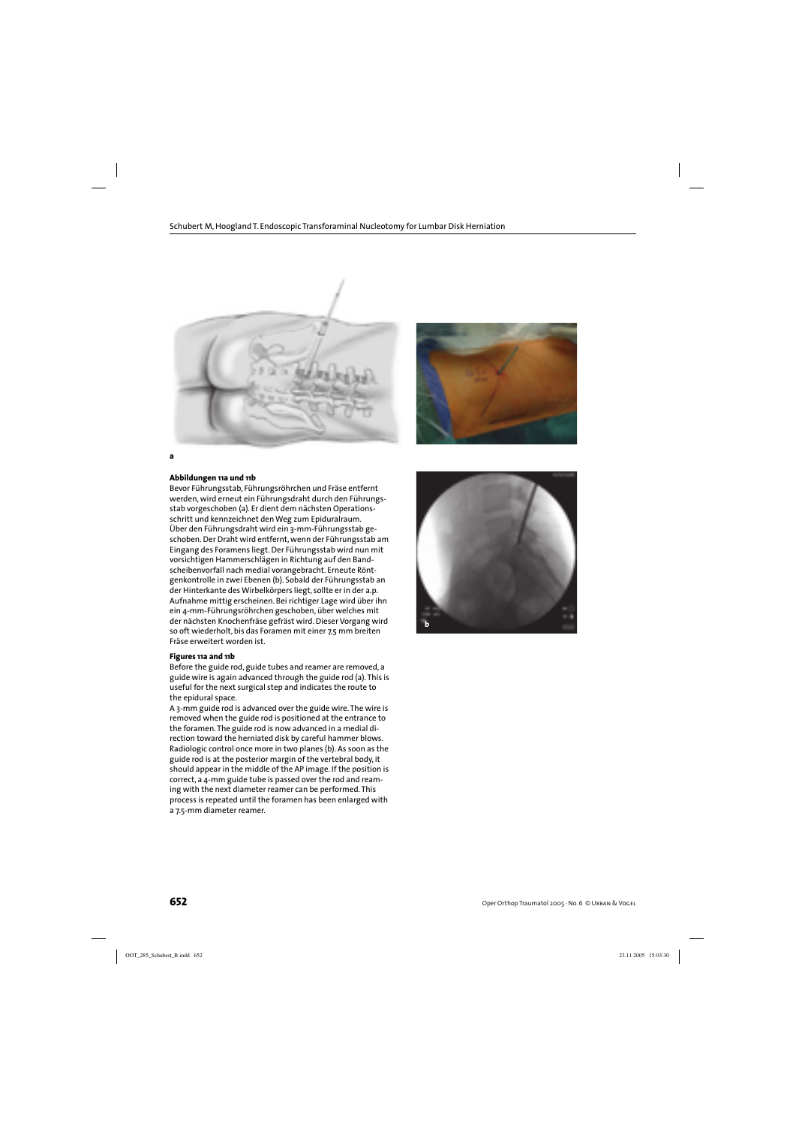



#### **Abbildungen 11a und 11b**

Bevor Führungsstab, Führungsröhrchen und Fräse entfernt werden, wird erneut ein Führungsdraht durch den Führungsstab vorgeschoben (a). Er dient dem nächsten Operationsschritt und kennzeichnet den Weg zum Epiduralraum. Über den Führungsdraht wird ein 3-mm-Führungsstab geschoben. Der Draht wird entfernt, wenn der Führungsstab am Eingang des Foramens liegt. Der Führungsstab wird nun mit vorsichtigen Hammerschlägen in Richtung auf den Bandscheibenvorfall nach medial vorangebracht. Erneute Röntgenkontrolle in zwei Ebenen (b). Sobald der Führungsstab an der Hinterkante des Wirbelkörpers liegt, sollte er in der a.p. Aufnahme mittig erscheinen. Bei richtiger Lage wird über ihn ein 4-mm-Führungsröhrchen geschoben, über welches mit der nächsten Knochenfräse gefräst wird. Dieser Vorgang wird so oft wiederholt, bis das Foramen mit einer 7,5 mm breiten Fräse erweitert worden ist.

#### **Figures 11a and 11b**

Before the guide rod, guide tubes and reamer are removed, a guide wire is again advanced through the guide rod (a). This is useful for the next surgical step and indicates the route to the epidural space.

A 3-mm guide rod is advanced over the guide wire. The wire is removed when the guide rod is positioned at the entrance to the foramen. The guide rod is now advanced in a medial direction toward the herniated disk by careful hammer blows. Radiologic control once more in two planes (b). As soon as the guide rod is at the posterior margin of the vertebral body, it should appear in the middle of the AP image. If the position is correct, a 4-mm guide tube is passed over the rod and reaming with the next diameter reamer can be performed. This process is repeated until the foramen has been enlarged with a 7.5-mm diameter reamer.

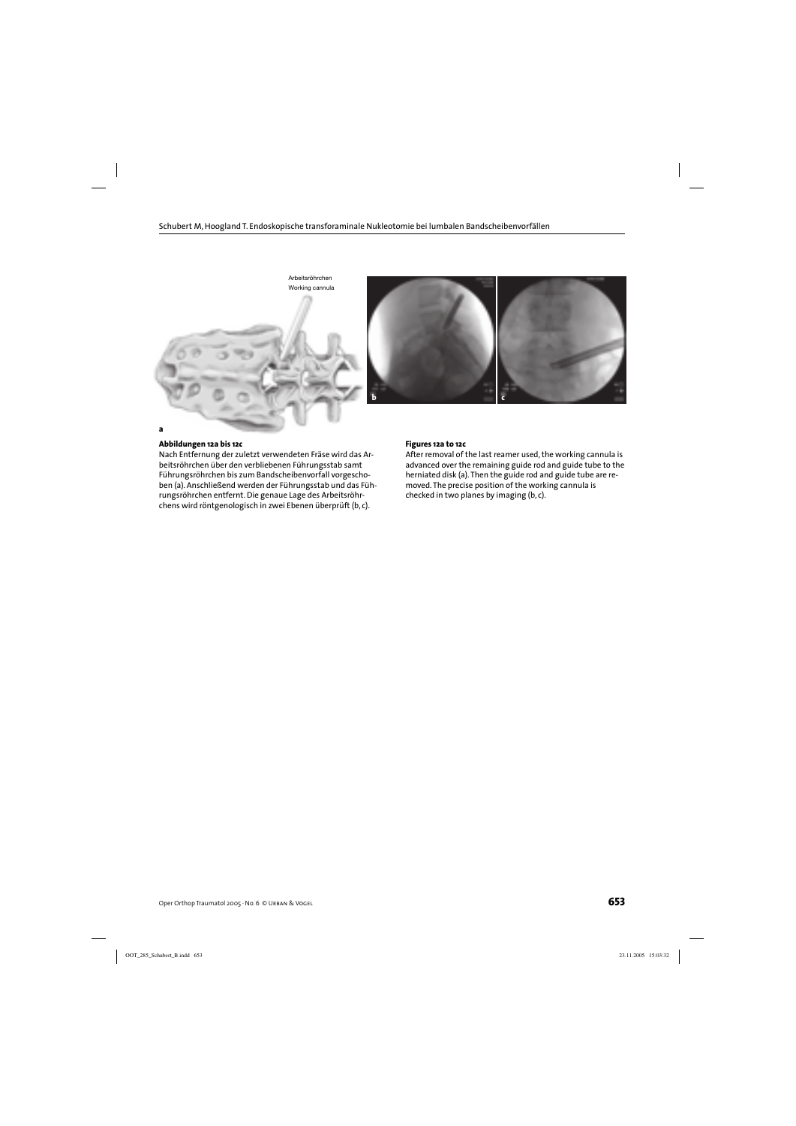

#### **Abbildungen 12a bis 12c**

Nach Entfernung der zuletzt verwendeten Fräse wird das Arbeitsröhrchen über den verbliebenen Führungsstab samt Führungsröhrchen bis zum Bandscheibenvorfall vorgeschoben (a). Anschließend werden der Führungsstab und das Führungsröhrchen entfernt. Die genaue Lage des Arbeitsröhrchens wird röntgenologisch in zwei Ebenen überprüft (b, c).

#### **Figures 12a to 12c**

After removal of the last reamer used, the working cannula is advanced over the remaining guide rod and guide tube to the herniated disk (a). Then the guide rod and guide tube are removed. The precise position of the working cannula is checked in two planes by imaging (b, c).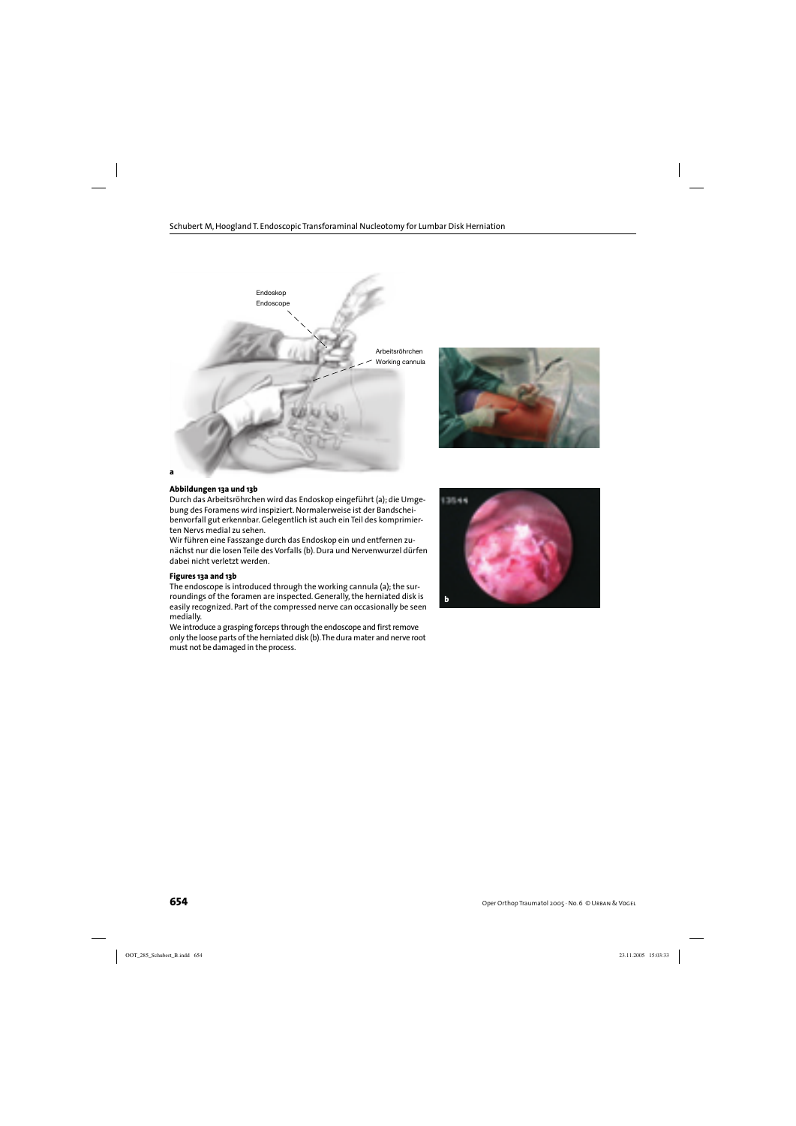



#### **Abbildungen 13a und 13b**

Durch das Arbeitsröhrchen wird das Endoskop eingeführt (a); die Umgebung des Foramens wird inspiziert. Normalerweise ist der Bandscheibenvorfall gut erkennbar. Gelegentlich ist auch ein Teil des komprimierten Nervs medial zu sehen.

Wir führen eine Fasszange durch das Endoskop ein und entfernen zunächst nur die losen Teile des Vorfalls (b). Dura und Nervenwurzel dürfen dabei nicht verletzt werden.

#### **Figures 13a and 13b**

The endoscope is introduced through the working cannula (a); the surroundings of the foramen are inspected. Generally, the herniated disk is easily recognized. Part of the compressed nerve can occasionally be seen medially.

We introduce a grasping forceps through the endoscope and first remove only the loose parts of the herniated disk (b). The dura mater and nerve root must not be damaged in the process.

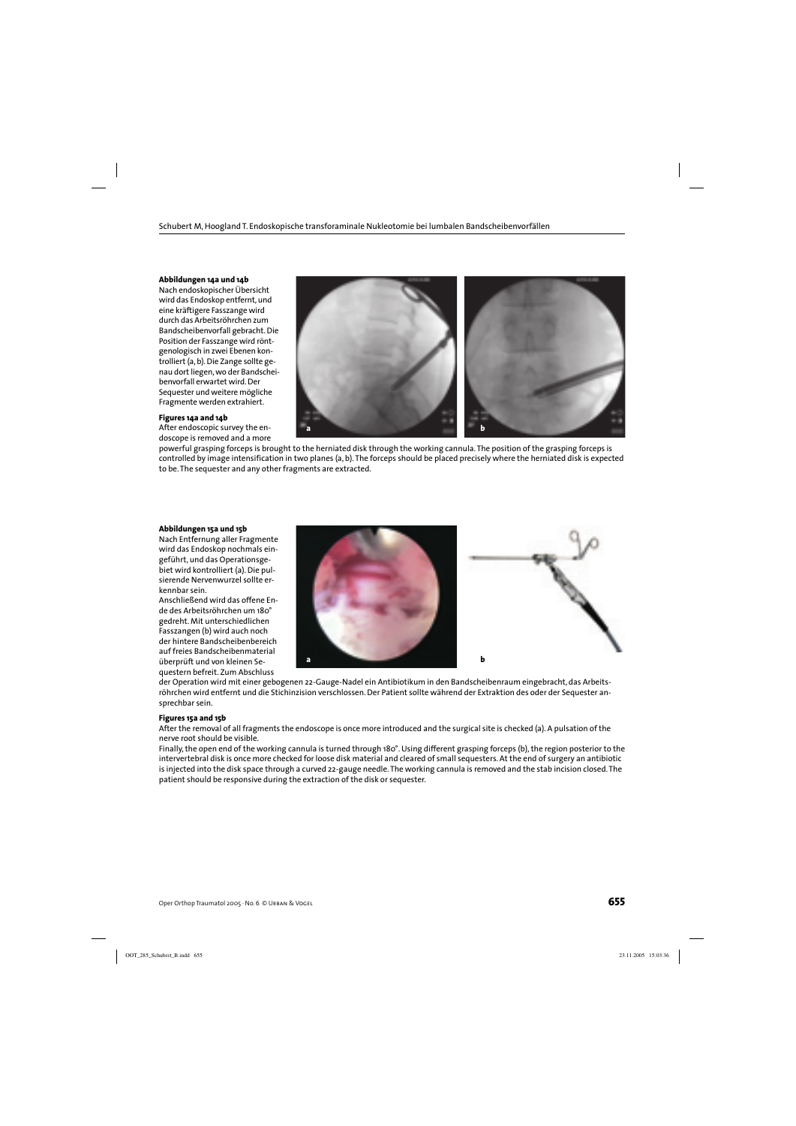#### **Abbildungen 14a und 14b**

Nach endoskopischer Übersicht wird das Endoskop entfernt, und eine kräftigere Fasszange wird durch das Arbeitsröhrchen zum Bandscheibenvorfall gebracht. Die Position der Fasszange wird röntgenologisch in zwei Ebenen kontrolliert (a, b). Die Zange sollte genau dort liegen, wo der Bandscheibenvorfall erwartet wird. Der Sequester und weitere mögliche Fragmente werden extrahiert.

#### **Figures 14a and 14b**

After endoscopic survey the endoscope is removed and a more



powerful grasping forceps is brought to the herniated disk through the working cannula. The position of the grasping forceps is controlled by image intensification in two planes (a, b). The forceps should be placed precisely where the herniated disk is expected to be. The sequester and any other fragments are extracted.

#### **Abbildungen 15a und 15b**

Nach Entfernung aller Fragmente wird das Endoskop nochmals eingeführt, und das Operationsgebiet wird kontrolliert (a). Die pulsierende Nervenwurzel sollte erkennbar sein.

Anschließend wird das offene Ende des Arbeitsröhrchen um 180° gedreht. Mit unterschiedlichen Fasszangen (b) wird auch noch der hintere Bandscheibenbereich auf freies Bandscheibenmaterial überprüft und von kleinen Sequestern befreit. Zum Abschluss



der Operation wird mit einer gebogenen 22-Gauge-Nadel ein Antibiotikum in den Bandscheibenraum eingebracht, das Arbeitsröhrchen wird entfernt und die Stichinzision verschlossen. Der Patient sollte während der Extraktion des oder der Sequester ansprechbar sein.

#### **Figures 15a and 15b**

After the removal of all fragments the endoscope is once more introduced and the surgical site is checked (a). A pulsation of the nerve root should be visible.

Finally, the open end of the working cannula is turned through 180°. Using different grasping forceps (b), the region posterior to the intervertebral disk is once more checked for loose disk material and cleared of small sequesters. At the end of surgery an antibiotic is injected into the disk space through a curved 22-gauge needle. The working cannula is removed and the stab incision closed. The patient should be responsive during the extraction of the disk or sequester.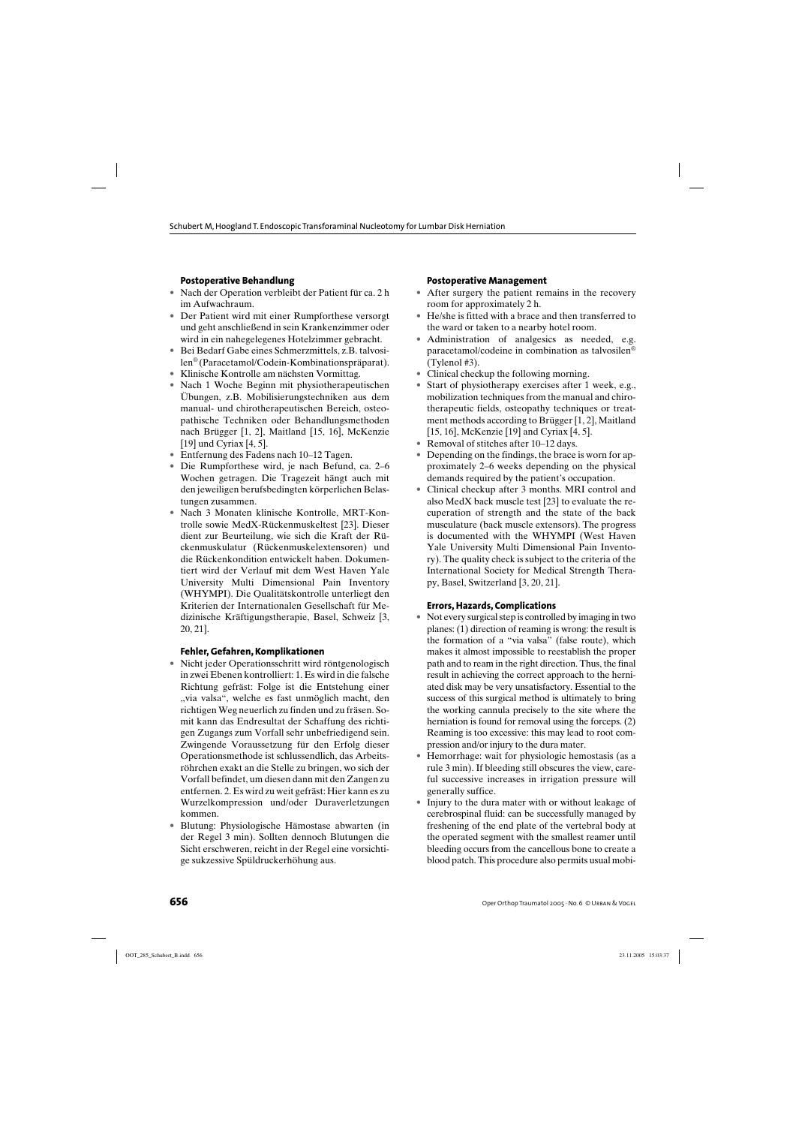## **Postoperative Behandlung**

- Nach der Operation verbleibt der Patient für ca. 2 h im Aufwachraum.
- Der Patient wird mit einer Rumpforthese versorgt und geht anschließend in sein Krankenzimmer oder wird in ein nahegelegenes Hotelzimmer gebracht.
- Bei Bedarf Gabe eines Schmerzmittels, z.B. talvosilen® (Paracetamol/Codein-Kombinationspräparat).
- Klinische Kontrolle am nächsten Vormittag.
- Nach 1 Woche Beginn mit physiotherapeutischen Übungen, z.B. Mobilisierungstechniken aus dem manual- und chirotherapeutischen Bereich, osteopathische Techniken oder Behandlungsmethoden nach Brügger [1, 2], Maitland [15, 16], McKenzie [19] und Cyriax [4, 5].
- Entfernung des Fadens nach 10–12 Tagen.
- Die Rumpforthese wird, je nach Befund, ca. 2–6 Wochen getragen. Die Tragezeit hängt auch mit den jeweiligen berufsbedingten körperlichen Belastungen zusammen.
- Nach 3 Monaten klinische Kontrolle, MRT-Kontrolle sowie MedX-Rückenmuskeltest [23]. Dieser dient zur Beurteilung, wie sich die Kraft der Rückenmuskulatur (Rückenmuskelextensoren) und die Rückenkondition entwickelt haben. Dokumentiert wird der Verlauf mit dem West Haven Yale University Multi Dimensional Pain Inventory (WHYMPI). Die Qualitätskontrolle unterliegt den Kriterien der Internationalen Gesellschaft für Medizinische Kräftigungstherapie, Basel, Schweiz [3, 20, 21].

### **Fehler, Gefahren, Komplikationen**

- Nicht jeder Operationsschritt wird röntgenologisch in zwei Ebenen kontrolliert: 1. Es wird in die falsche Richtung gefräst: Folge ist die Entstehung einer "via valsa", welche es fast unmöglich macht, den richtigen Weg neuerlich zu finden und zu fräsen. Somit kann das Endresultat der Schaffung des richtigen Zugangs zum Vorfall sehr unbefriedigend sein. Zwingende Voraussetzung für den Erfolg dieser Operationsmethode ist schlussendlich, das Arbeitsröhrchen exakt an die Stelle zu bringen, wo sich der Vorfall befindet, um diesen dann mit den Zangen zu entfernen. 2. Es wird zu weit gefräst: Hier kann es zu Wurzelkompression und/oder Duraverletzungen kommen.
- Blutung: Physiologische Hämostase abwarten (in der Regel 3 min). Sollten dennoch Blutungen die Sicht erschweren, reicht in der Regel eine vorsichtige sukzessive Spüldruckerhöhung aus.

#### **Postoperative Management**

- After surgery the patient remains in the recovery room for approximately 2 h.
- He/she is fitted with a brace and then transferred to the ward or taken to a nearby hotel room.
- Administration of analgesics as needed, e.g. paracetamol/codeine in combination as talvosilen® (Tylenol #3).
- Clinical checkup the following morning.
- Start of physiotherapy exercises after 1 week, e.g., mobilization techniques from the manual and chirotherapeutic fields, osteopathy techniques or treatment methods according to Brügger [1, 2], Maitland [15, 16], McKenzie [19] and Cyriax [4, 5].
- Removal of stitches after 10–12 days.
- Depending on the findings, the brace is worn for approximately 2–6 weeks depending on the physical demands required by the patient's occupation.
- Clinical checkup after 3 months. MRI control and also MedX back muscle test [23] to evaluate the recuperation of strength and the state of the back musculature (back muscle extensors). The progress is documented with the WHYMPI (West Haven Yale University Multi Dimensional Pain Inventory). The quality check is subject to the criteria of the International Society for Medical Strength Therapy, Basel, Switzerland [3, 20, 21].

### **Errors, Hazards, Complications**

- Not every surgical step is controlled by imaging in two planes: (1) direction of reaming is wrong: the result is the formation of a "via valsa" (false route), which makes it almost impossible to reestablish the proper path and to ream in the right direction. Thus, the final result in achieving the correct approach to the herniated disk may be very unsatisfactory. Essential to the success of this surgical method is ultimately to bring the working cannula precisely to the site where the herniation is found for removal using the forceps. (2) Reaming is too excessive: this may lead to root compression and/or injury to the dura mater.
- Hemorrhage: wait for physiologic hemostasis (as a rule 3 min). If bleeding still obscures the view, careful successive increases in irrigation pressure will generally suffice.
- Injury to the dura mater with or without leakage of cerebrospinal fluid: can be successfully managed by freshening of the end plate of the vertebral body at the operated segment with the smallest reamer until bleeding occurs from the cancellous bone to create a blood patch. This procedure also permits usual mobi-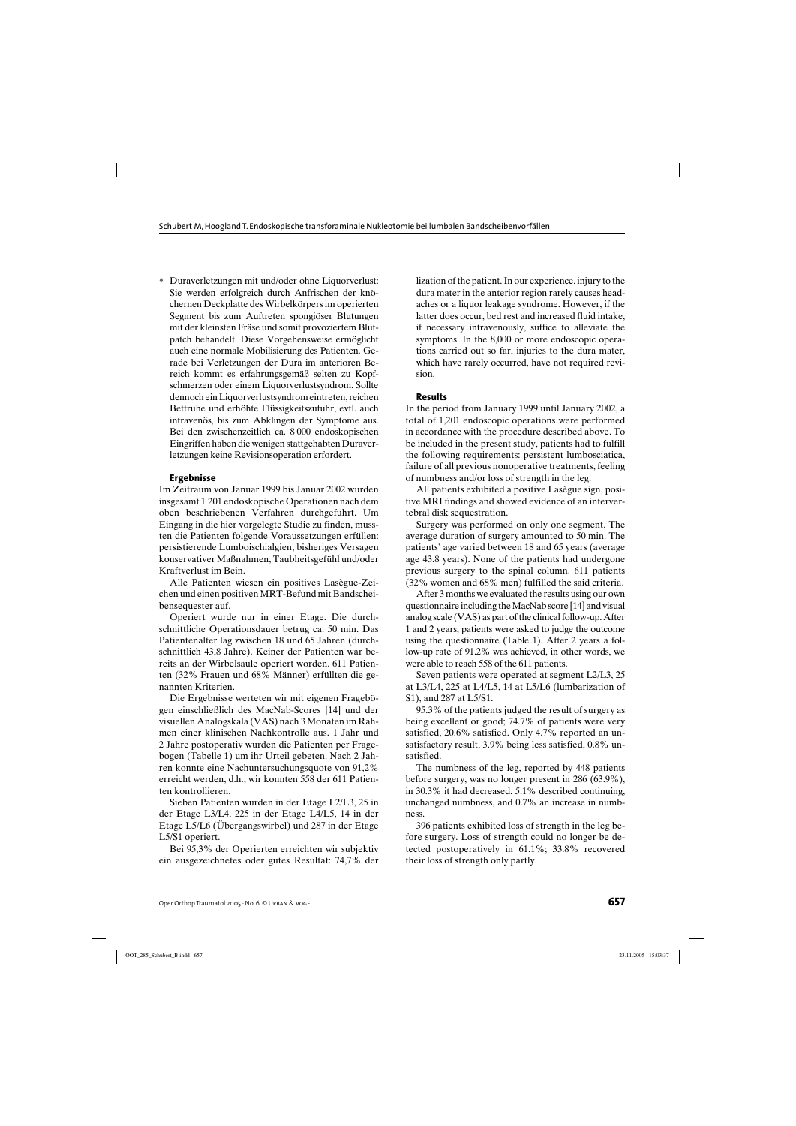• Duraverletzungen mit und/oder ohne Liquorverlust: Sie werden erfolgreich durch Anfrischen der knöchernen Deckplatte des Wirbelkörpers im operierten Segment bis zum Auftreten spongiöser Blutungen mit der kleinsten Fräse und somit provoziertem Blutpatch behandelt. Diese Vorgehensweise ermöglicht auch eine normale Mobilisierung des Patienten. Gerade bei Verletzungen der Dura im anterioren Bereich kommt es erfahrungsgemäß selten zu Kopfschmerzen oder einem Liquorverlustsyndrom. Sollte dennoch ein Liquorverlustsyndrom eintreten, reichen Bettruhe und erhöhte Flüssigkeitszufuhr, evtl. auch intravenös, bis zum Abklingen der Symptome aus. Bei den zwischenzeitlich ca. 8 000 endoskopischen Eingriffen haben die wenigen stattgehabten Duraverletzungen keine Revisionsoperation erfordert.

#### **Ergebnisse**

Im Zeitraum von Januar 1999 bis Januar 2002 wurden insgesamt 1 201 endoskopische Operationen nach dem oben beschriebenen Verfahren durchgeführt. Um Eingang in die hier vorgelegte Studie zu finden, mussten die Patienten folgende Voraussetzungen erfüllen: persistierende Lumboischialgien, bisheriges Versagen konservativer Maßnahmen, Taubheitsgefühl und/oder Kraftverlust im Bein.

Alle Patienten wiesen ein positives Lasègue-Zeichen und einen positiven MRT-Befund mit Bandscheibensequester auf.

Operiert wurde nur in einer Etage. Die durchschnittliche Operationsdauer betrug ca. 50 min. Das Patientenalter lag zwischen 18 und 65 Jahren (durchschnittlich 43,8 Jahre). Keiner der Patienten war bereits an der Wirbelsäule operiert worden. 611 Patienten (32% Frauen und 68% Männer) erfüllten die genannten Kriterien.

Die Ergebnisse werteten wir mit eigenen Fragebögen einschließlich des MacNab-Scores [14] und der visuellen Analogskala (VAS) nach 3 Monaten im Rahmen einer klinischen Nachkontrolle aus. 1 Jahr und 2 Jahre postoperativ wurden die Patienten per Fragebogen (Tabelle 1) um ihr Urteil gebeten. Nach 2 Jahren konnte eine Nachuntersuchungsquote von 91,2% erreicht werden, d.h., wir konnten 558 der 611 Patienten kontrollieren.

Sieben Patienten wurden in der Etage L2/L3, 25 in der Etage L3/L4, 225 in der Etage L4/L5, 14 in der Etage L5/L6 (Übergangswirbel) und 287 in der Etage L5/S1 operiert.

Bei 95,3% der Operierten erreichten wir subjektiv ein ausgezeichnetes oder gutes Resultat: 74,7% der lization of the patient. In our experience, injury to the dura mater in the anterior region rarely causes headaches or a liquor leakage syndrome. However, if the latter does occur, bed rest and increased fluid intake, if necessary intravenously, suffice to alleviate the symptoms. In the 8,000 or more endoscopic operations carried out so far, injuries to the dura mater, which have rarely occurred, have not required revision.

#### **Results**

In the period from January 1999 until January 2002, a total of 1,201 endoscopic operations were performed in accordance with the procedure described above. To be included in the present study, patients had to fulfill the following requirements: persistent lumbosciatica, failure of all previous nonoperative treatments, feeling of numbness and/or loss of strength in the leg.

All patients exhibited a positive Lasègue sign, positive MRI findings and showed evidence of an intervertebral disk sequestration.

Surgery was performed on only one segment. The average duration of surgery amounted to 50 min. The patients' age varied between 18 and 65 years (average age 43.8 years). None of the patients had undergone previous surgery to the spinal column. 611 patients (32% women and 68% men) fulfilled the said criteria.

After 3 months we evaluated the results using our own questionnaire including the MacNab score [14] and visual analog scale (VAS) as part of the clinical follow-up. After 1 and 2 years, patients were asked to judge the outcome using the questionnaire (Table 1). After 2 years a follow-up rate of 91.2% was achieved, in other words, we were able to reach 558 of the 611 patients.

Seven patients were operated at segment L2/L3, 25 at L3/L4, 225 at L4/L5, 14 at L5/L6 (lumbarization of S1), and 287 at L5/S1.

95.3% of the patients judged the result of surgery as being excellent or good; 74.7% of patients were very satisfied, 20.6% satisfied. Only 4.7% reported an unsatisfactory result, 3.9% being less satisfied, 0.8% unsatisfied.

The numbness of the leg, reported by 448 patients before surgery, was no longer present in 286 (63.9%), in 30.3% it had decreased. 5.1% described continuing, unchanged numbness, and 0.7% an increase in numbness.

396 patients exhibited loss of strength in the leg before surgery. Loss of strength could no longer be detected postoperatively in 61.1%; 33.8% recovered their loss of strength only partly.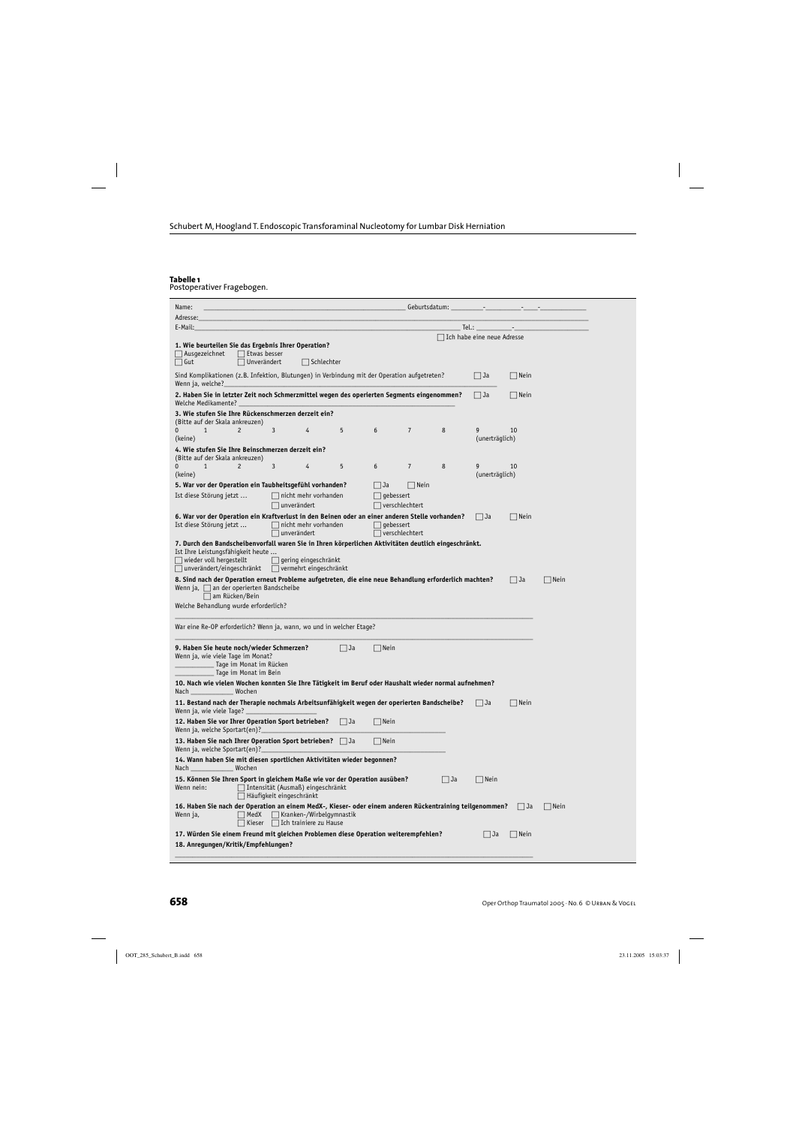#### **Tabelle 1**

Postoperativer Fragebogen.

| Name:                                                                                                                                                                                                                                                                    |                                           |                |    |                            |                         |      |
|--------------------------------------------------------------------------------------------------------------------------------------------------------------------------------------------------------------------------------------------------------------------------|-------------------------------------------|----------------|----|----------------------------|-------------------------|------|
| Adresse:                                                                                                                                                                                                                                                                 |                                           |                |    |                            |                         |      |
| E-Mail:                                                                                                                                                                                                                                                                  |                                           |                |    |                            | Tel.: ________________- |      |
| 1. Wie beurteilen Sie das Ergebnis Ihrer Operation?<br>$\Box$ Ausgezeichnet<br>$\Box$ Etwas besser<br>$\Box$ Gut<br>$\Box$ Unverändert<br>$\Box$ Schlechter                                                                                                              |                                           |                |    | Ich habe eine neue Adresse |                         |      |
| Sind Komplikationen (z.B. Infektion, Blutungen) in Verbindung mit der Operation aufgetreten?<br>Wenn ja, welche?                                                                                                                                                         |                                           |                |    | $ $ $ $ Ja                 | Nein                    |      |
| 2. Haben Sie in letzter Zeit noch Schmerzmittel wegen des operierten Segments eingenommen?<br>Welche Medikamente?                                                                                                                                                        |                                           |                |    | Ja                         | $\Box$ Nein             |      |
| 3. Wie stufen Sie Ihre Rückenschmerzen derzeit ein?<br>(Bitte auf der Skala ankreuzen)                                                                                                                                                                                   |                                           |                |    |                            |                         |      |
| 0<br>$\mathbf{1}$<br>$\overline{c}$<br>3<br>5<br>4<br>(keine)                                                                                                                                                                                                            | 6                                         | $\overline{7}$ | 8  | 9<br>(unerträglich)        | 10                      |      |
| 4. Wie stufen Sie Ihre Beinschmerzen derzeit ein?<br>(Bitte auf der Skala ankreuzen)                                                                                                                                                                                     |                                           |                |    |                            |                         |      |
| $\overline{c}$<br>3<br>5<br>0<br>$\mathbf{1}$<br>4<br>(keine)                                                                                                                                                                                                            | 6                                         | $\overline{7}$ | 8  | 9<br>(unerträglich)        | 10                      |      |
| 5. War vor der Operation ein Taubheitsgefühl vorhanden?<br>Ist diese Störung jetzt<br>$\Box$ nicht mehr vorhanden                                                                                                                                                        | Ja<br>$\Box$ gebessert                    | Nein           |    |                            |                         |      |
| $\Box$ unverändert<br>6. War vor der Operation ein Kraftverlust in den Beinen oder an einer anderen Stelle vorhanden?                                                                                                                                                    | $\Box$ verschlechtert                     |                |    | Ja                         | $\Box$ Nein             |      |
| Ist diese Störung jetzt<br>$\Box$ nicht mehr vorhanden<br>$\Box$ unverändert                                                                                                                                                                                             | $\Box$ gebessert<br>$\Box$ verschlechtert |                |    |                            |                         |      |
| 7. Durch den Bandscheibenvorfall waren Sie in Ihren körperlichen Aktivitäten deutlich eingeschränkt.<br>Ist Ihre Leistungsfähigkeit heute<br>wieder voll hergestellt<br>$\Box$ gering eingeschränkt<br>$\Box$ unverändert/eingeschränkt<br>$\Box$ vermehrt eingeschränkt |                                           |                |    |                            |                         |      |
| 8. Sind nach der Operation erneut Probleme aufgetreten, die eine neue Behandlung erforderlich machten?<br>Wenn ja, $\Box$ an der operierten Bandscheibe<br>am Rücken/Bein                                                                                                |                                           |                |    |                            | $ $ $ $ Ja              | Nein |
| Welche Behandlung wurde erforderlich?                                                                                                                                                                                                                                    |                                           |                |    |                            |                         |      |
| War eine Re-OP erforderlich? Wenn ja, wann, wo und in welcher Etage?                                                                                                                                                                                                     |                                           |                |    |                            |                         |      |
| 9. Haben Sie heute noch/wieder Schmerzen?<br>$ $ $ $ Ja<br>Wenn ja, wie viele Tage im Monat?<br><sub>-</sub> Tage im Monat im Rücken<br>Tage im Monat im Bein                                                                                                            | $\Box$ Nein                               |                |    |                            |                         |      |
| 10. Nach wie vielen Wochen konnten Sie Ihre Tätigkeit im Beruf oder Haushalt wieder normal aufnehmen?<br>Nach Wochen                                                                                                                                                     |                                           |                |    |                            |                         |      |
| 11. Bestand nach der Therapie nochmals Arbeitsunfähigkeit wegen der operierten Bandscheibe?<br>Wenn ja, wie viele Tage?                                                                                                                                                  |                                           |                |    | Ja                         | Nein                    |      |
| 12. Haben Sie vor Ihrer Operation Sport betrieben? Ja<br>Wenn ja, welche Sportart(en)?                                                                                                                                                                                   | $\Box$ Nein                               |                |    |                            |                         |      |
| 13. Haben Sie nach Ihrer Operation Sport betrieben? $\Box$ Ja<br>Wenn ja, welche Sportart(en)?                                                                                                                                                                           | $\Box$ Nein                               |                |    |                            |                         |      |
| 14. Wann haben Sie mit diesen sportlichen Aktivitäten wieder begonnen?<br>Wochen<br>Nach _                                                                                                                                                                               |                                           |                |    |                            |                         |      |
| 15. Können Sie Ihren Sport in gleichem Maße wie vor der Operation ausüben?<br>Intensität (Ausmaß) eingeschränkt<br>Wenn nein:<br>⊤ Häufigkeit eingeschränkt                                                                                                              |                                           |                | Ja | $\Box$ Nein                |                         |      |
| 16. Haben Sie nach der Operation an einem MedX-, Kieser- oder einem anderen Rückentraining teilgenommen?<br>  MedX<br>$\Box$ Kranken-/Wirbelgymnastik<br>Wenn ja,<br>$\exists$ Kieser $\Box$ Ich trainiere zu Hause                                                      |                                           |                |    |                            | Ja                      | Nein |
| 17. Würden Sie einem Freund mit gleichen Problemen diese Operation weiterempfehlen?<br>18. Anregungen/Kritik/Empfehlungen?                                                                                                                                               |                                           |                |    | Ja                         | $\Box$ Nein             |      |
|                                                                                                                                                                                                                                                                          |                                           |                |    |                            |                         |      |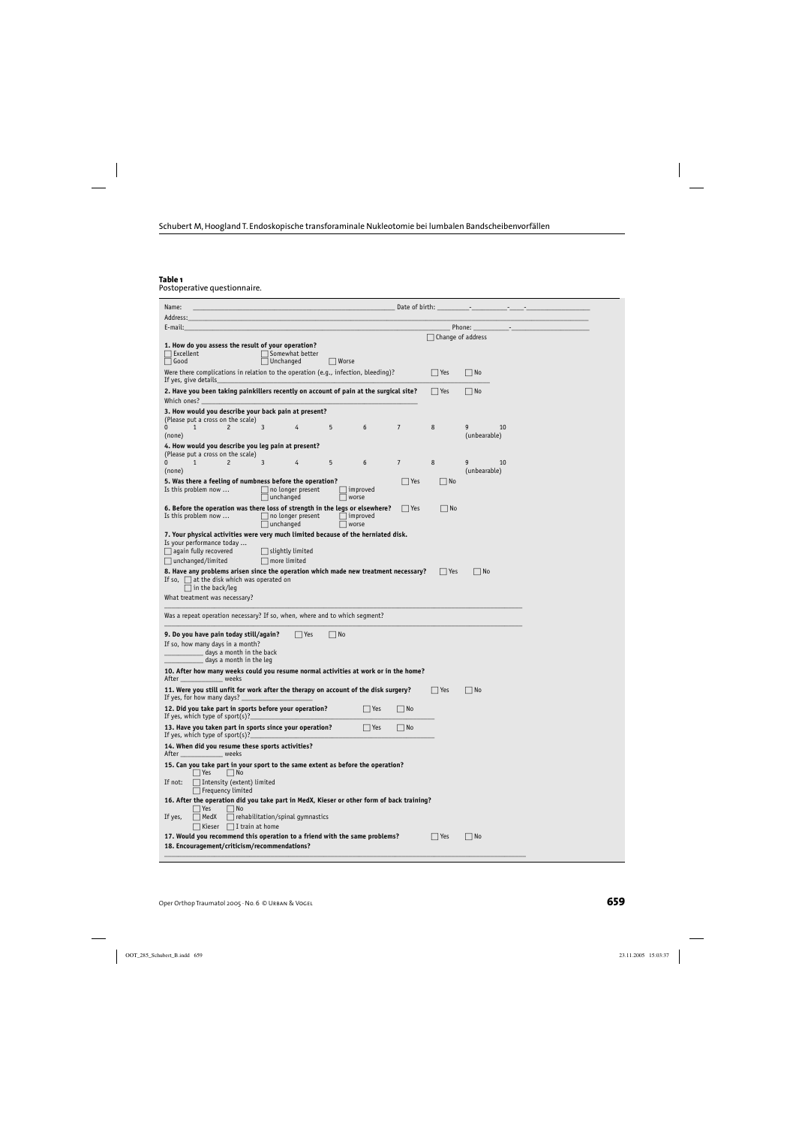#### **Table 1**

Postoperative questionnaire.

| Address:<br>E-mail:<br>Phone:<br>$\Box$ Change of address<br>1. How do you assess the result of your operation?<br>$\Box$ Excellent<br>Somewhat better<br>$\Box$ Good<br>$\Box$ Unchanged<br>    Worse<br>Were there complications in relation to the operation (e.g., infection, bleeding)?<br>$ $ Yes<br>$\vert$ $\vert$ No<br>If yes, give details<br>2. Have you been taking painkillers recently on account of pain at the surgical site?<br>$\Box$ No<br>$ $ Yes<br>Which ones?<br>3. How would you describe your back pain at present?<br>(Please put a cross on the scale)<br>3<br>5<br>$\overline{7}$<br>$\mathbf{1}$<br>$\overline{c}$<br>6<br>8<br>9<br>10<br>$\mathbf{0}$<br>4<br>(unbearable)<br>(none)<br>4. How would you describe you leg pain at present?<br>(Please put a cross on the scale)<br>$\mathbf{1}$<br>3<br>5<br>6<br>$\overline{7}$<br>8<br>10<br>$\mathbf 0$<br>$\overline{c}$<br>4<br>9<br>(unbearable)<br>(none)<br>5. Was there a feeling of numbness before the operation?<br>  Yes<br>   No<br>Is this problem now<br>$\Box$ no longer present<br>$\Box$ improved<br>$\Box$ unchanged<br>$\Box$ worse<br>6. Before the operation was there loss of strength in the legs or elsewhere?<br>$ $ Yes<br>$ $   No<br>Is this problem now $\ldots$<br>$\Box$ no longer present<br>$\Box$ improved<br>$\Box$ unchanged<br>$\sqrt{ }$ worse<br>7. Your physical activities were very much limited because of the herniated disk.<br>Is your performance today<br>$\Box$ again fully recovered<br>$\vert$ slightly limited<br>$\Box$ unchanged/limited<br>$\Box$ more limited<br>8. Have any problems arisen since the operation which made new treatment necessary?<br>  No<br>$ $   Yes<br>If so, $\Box$ at the disk which was operated on<br>$\Box$ in the back/leg<br>What treatment was necessary?<br>Was a repeat operation necessary? If so, when, where and to which segment?<br>9. Do you have pain today still/again?<br>$ $ Yes<br>$ $ No<br>If so, how many days in a month?<br>days a month in the back<br>days a month in the leg<br>10. After how many weeks could you resume normal activities at work or in the home?<br>weeks<br>After<br>11. Were you still unfit for work after the therapy on account of the disk surgery?<br>$\vert$ $\vert$ No<br>$ $   Yes<br>If yes, for how many days?<br>12. Did you take part in sports before your operation?<br>$ $ Yes<br>   No<br>If yes, which type of sport $(s)$ ?<br>13. Have you taken part in sports since your operation?<br>$\Box$ Yes<br>    No<br>If yes, which type of sport(s)?<br>14. When did you resume these sports activities?<br>After ____<br>_ weeks<br>15. Can you take part in your sport to the same extent as before the operation?<br>  Yes<br>    No<br>Intensity (extent) limited<br>If not:<br>$\Box$ Frequency limited<br>16. After the operation did you take part in MedX, Kieser or other form of back training?<br>Yes<br>  No<br>rehabilitation/spinal gymnastics<br>  MedX<br>If yes,<br>$\Box$ I train at home<br>$\Box$ Kieser<br>17. Would you recommend this operation to a friend with the same problems?<br>$\Box$ No<br>$ $ Yes | Name:                                        | Date of birth: |  |
|---------------------------------------------------------------------------------------------------------------------------------------------------------------------------------------------------------------------------------------------------------------------------------------------------------------------------------------------------------------------------------------------------------------------------------------------------------------------------------------------------------------------------------------------------------------------------------------------------------------------------------------------------------------------------------------------------------------------------------------------------------------------------------------------------------------------------------------------------------------------------------------------------------------------------------------------------------------------------------------------------------------------------------------------------------------------------------------------------------------------------------------------------------------------------------------------------------------------------------------------------------------------------------------------------------------------------------------------------------------------------------------------------------------------------------------------------------------------------------------------------------------------------------------------------------------------------------------------------------------------------------------------------------------------------------------------------------------------------------------------------------------------------------------------------------------------------------------------------------------------------------------------------------------------------------------------------------------------------------------------------------------------------------------------------------------------------------------------------------------------------------------------------------------------------------------------------------------------------------------------------------------------------------------------------------------------------------------------------------------------------------------------------------------------------------------------------------------------------------------------------------------------------------------------------------------------------------------------------------------------------------------------------------------------------------------------------------------------------------------------------------------------------------------------------------------------------------------------------------------------------------------------------------------------------------------------------------------------------------------------------------------------------------------------------------------------------------------------------------------------------------------------------------------------|----------------------------------------------|----------------|--|
|                                                                                                                                                                                                                                                                                                                                                                                                                                                                                                                                                                                                                                                                                                                                                                                                                                                                                                                                                                                                                                                                                                                                                                                                                                                                                                                                                                                                                                                                                                                                                                                                                                                                                                                                                                                                                                                                                                                                                                                                                                                                                                                                                                                                                                                                                                                                                                                                                                                                                                                                                                                                                                                                                                                                                                                                                                                                                                                                                                                                                                                                                                                                                                     |                                              |                |  |
|                                                                                                                                                                                                                                                                                                                                                                                                                                                                                                                                                                                                                                                                                                                                                                                                                                                                                                                                                                                                                                                                                                                                                                                                                                                                                                                                                                                                                                                                                                                                                                                                                                                                                                                                                                                                                                                                                                                                                                                                                                                                                                                                                                                                                                                                                                                                                                                                                                                                                                                                                                                                                                                                                                                                                                                                                                                                                                                                                                                                                                                                                                                                                                     |                                              |                |  |
|                                                                                                                                                                                                                                                                                                                                                                                                                                                                                                                                                                                                                                                                                                                                                                                                                                                                                                                                                                                                                                                                                                                                                                                                                                                                                                                                                                                                                                                                                                                                                                                                                                                                                                                                                                                                                                                                                                                                                                                                                                                                                                                                                                                                                                                                                                                                                                                                                                                                                                                                                                                                                                                                                                                                                                                                                                                                                                                                                                                                                                                                                                                                                                     |                                              |                |  |
|                                                                                                                                                                                                                                                                                                                                                                                                                                                                                                                                                                                                                                                                                                                                                                                                                                                                                                                                                                                                                                                                                                                                                                                                                                                                                                                                                                                                                                                                                                                                                                                                                                                                                                                                                                                                                                                                                                                                                                                                                                                                                                                                                                                                                                                                                                                                                                                                                                                                                                                                                                                                                                                                                                                                                                                                                                                                                                                                                                                                                                                                                                                                                                     |                                              |                |  |
|                                                                                                                                                                                                                                                                                                                                                                                                                                                                                                                                                                                                                                                                                                                                                                                                                                                                                                                                                                                                                                                                                                                                                                                                                                                                                                                                                                                                                                                                                                                                                                                                                                                                                                                                                                                                                                                                                                                                                                                                                                                                                                                                                                                                                                                                                                                                                                                                                                                                                                                                                                                                                                                                                                                                                                                                                                                                                                                                                                                                                                                                                                                                                                     |                                              |                |  |
|                                                                                                                                                                                                                                                                                                                                                                                                                                                                                                                                                                                                                                                                                                                                                                                                                                                                                                                                                                                                                                                                                                                                                                                                                                                                                                                                                                                                                                                                                                                                                                                                                                                                                                                                                                                                                                                                                                                                                                                                                                                                                                                                                                                                                                                                                                                                                                                                                                                                                                                                                                                                                                                                                                                                                                                                                                                                                                                                                                                                                                                                                                                                                                     |                                              |                |  |
|                                                                                                                                                                                                                                                                                                                                                                                                                                                                                                                                                                                                                                                                                                                                                                                                                                                                                                                                                                                                                                                                                                                                                                                                                                                                                                                                                                                                                                                                                                                                                                                                                                                                                                                                                                                                                                                                                                                                                                                                                                                                                                                                                                                                                                                                                                                                                                                                                                                                                                                                                                                                                                                                                                                                                                                                                                                                                                                                                                                                                                                                                                                                                                     |                                              |                |  |
|                                                                                                                                                                                                                                                                                                                                                                                                                                                                                                                                                                                                                                                                                                                                                                                                                                                                                                                                                                                                                                                                                                                                                                                                                                                                                                                                                                                                                                                                                                                                                                                                                                                                                                                                                                                                                                                                                                                                                                                                                                                                                                                                                                                                                                                                                                                                                                                                                                                                                                                                                                                                                                                                                                                                                                                                                                                                                                                                                                                                                                                                                                                                                                     |                                              |                |  |
|                                                                                                                                                                                                                                                                                                                                                                                                                                                                                                                                                                                                                                                                                                                                                                                                                                                                                                                                                                                                                                                                                                                                                                                                                                                                                                                                                                                                                                                                                                                                                                                                                                                                                                                                                                                                                                                                                                                                                                                                                                                                                                                                                                                                                                                                                                                                                                                                                                                                                                                                                                                                                                                                                                                                                                                                                                                                                                                                                                                                                                                                                                                                                                     |                                              |                |  |
|                                                                                                                                                                                                                                                                                                                                                                                                                                                                                                                                                                                                                                                                                                                                                                                                                                                                                                                                                                                                                                                                                                                                                                                                                                                                                                                                                                                                                                                                                                                                                                                                                                                                                                                                                                                                                                                                                                                                                                                                                                                                                                                                                                                                                                                                                                                                                                                                                                                                                                                                                                                                                                                                                                                                                                                                                                                                                                                                                                                                                                                                                                                                                                     |                                              |                |  |
|                                                                                                                                                                                                                                                                                                                                                                                                                                                                                                                                                                                                                                                                                                                                                                                                                                                                                                                                                                                                                                                                                                                                                                                                                                                                                                                                                                                                                                                                                                                                                                                                                                                                                                                                                                                                                                                                                                                                                                                                                                                                                                                                                                                                                                                                                                                                                                                                                                                                                                                                                                                                                                                                                                                                                                                                                                                                                                                                                                                                                                                                                                                                                                     |                                              |                |  |
|                                                                                                                                                                                                                                                                                                                                                                                                                                                                                                                                                                                                                                                                                                                                                                                                                                                                                                                                                                                                                                                                                                                                                                                                                                                                                                                                                                                                                                                                                                                                                                                                                                                                                                                                                                                                                                                                                                                                                                                                                                                                                                                                                                                                                                                                                                                                                                                                                                                                                                                                                                                                                                                                                                                                                                                                                                                                                                                                                                                                                                                                                                                                                                     |                                              |                |  |
|                                                                                                                                                                                                                                                                                                                                                                                                                                                                                                                                                                                                                                                                                                                                                                                                                                                                                                                                                                                                                                                                                                                                                                                                                                                                                                                                                                                                                                                                                                                                                                                                                                                                                                                                                                                                                                                                                                                                                                                                                                                                                                                                                                                                                                                                                                                                                                                                                                                                                                                                                                                                                                                                                                                                                                                                                                                                                                                                                                                                                                                                                                                                                                     |                                              |                |  |
|                                                                                                                                                                                                                                                                                                                                                                                                                                                                                                                                                                                                                                                                                                                                                                                                                                                                                                                                                                                                                                                                                                                                                                                                                                                                                                                                                                                                                                                                                                                                                                                                                                                                                                                                                                                                                                                                                                                                                                                                                                                                                                                                                                                                                                                                                                                                                                                                                                                                                                                                                                                                                                                                                                                                                                                                                                                                                                                                                                                                                                                                                                                                                                     |                                              |                |  |
|                                                                                                                                                                                                                                                                                                                                                                                                                                                                                                                                                                                                                                                                                                                                                                                                                                                                                                                                                                                                                                                                                                                                                                                                                                                                                                                                                                                                                                                                                                                                                                                                                                                                                                                                                                                                                                                                                                                                                                                                                                                                                                                                                                                                                                                                                                                                                                                                                                                                                                                                                                                                                                                                                                                                                                                                                                                                                                                                                                                                                                                                                                                                                                     |                                              |                |  |
|                                                                                                                                                                                                                                                                                                                                                                                                                                                                                                                                                                                                                                                                                                                                                                                                                                                                                                                                                                                                                                                                                                                                                                                                                                                                                                                                                                                                                                                                                                                                                                                                                                                                                                                                                                                                                                                                                                                                                                                                                                                                                                                                                                                                                                                                                                                                                                                                                                                                                                                                                                                                                                                                                                                                                                                                                                                                                                                                                                                                                                                                                                                                                                     |                                              |                |  |
|                                                                                                                                                                                                                                                                                                                                                                                                                                                                                                                                                                                                                                                                                                                                                                                                                                                                                                                                                                                                                                                                                                                                                                                                                                                                                                                                                                                                                                                                                                                                                                                                                                                                                                                                                                                                                                                                                                                                                                                                                                                                                                                                                                                                                                                                                                                                                                                                                                                                                                                                                                                                                                                                                                                                                                                                                                                                                                                                                                                                                                                                                                                                                                     |                                              |                |  |
|                                                                                                                                                                                                                                                                                                                                                                                                                                                                                                                                                                                                                                                                                                                                                                                                                                                                                                                                                                                                                                                                                                                                                                                                                                                                                                                                                                                                                                                                                                                                                                                                                                                                                                                                                                                                                                                                                                                                                                                                                                                                                                                                                                                                                                                                                                                                                                                                                                                                                                                                                                                                                                                                                                                                                                                                                                                                                                                                                                                                                                                                                                                                                                     |                                              |                |  |
|                                                                                                                                                                                                                                                                                                                                                                                                                                                                                                                                                                                                                                                                                                                                                                                                                                                                                                                                                                                                                                                                                                                                                                                                                                                                                                                                                                                                                                                                                                                                                                                                                                                                                                                                                                                                                                                                                                                                                                                                                                                                                                                                                                                                                                                                                                                                                                                                                                                                                                                                                                                                                                                                                                                                                                                                                                                                                                                                                                                                                                                                                                                                                                     |                                              |                |  |
|                                                                                                                                                                                                                                                                                                                                                                                                                                                                                                                                                                                                                                                                                                                                                                                                                                                                                                                                                                                                                                                                                                                                                                                                                                                                                                                                                                                                                                                                                                                                                                                                                                                                                                                                                                                                                                                                                                                                                                                                                                                                                                                                                                                                                                                                                                                                                                                                                                                                                                                                                                                                                                                                                                                                                                                                                                                                                                                                                                                                                                                                                                                                                                     |                                              |                |  |
|                                                                                                                                                                                                                                                                                                                                                                                                                                                                                                                                                                                                                                                                                                                                                                                                                                                                                                                                                                                                                                                                                                                                                                                                                                                                                                                                                                                                                                                                                                                                                                                                                                                                                                                                                                                                                                                                                                                                                                                                                                                                                                                                                                                                                                                                                                                                                                                                                                                                                                                                                                                                                                                                                                                                                                                                                                                                                                                                                                                                                                                                                                                                                                     |                                              |                |  |
|                                                                                                                                                                                                                                                                                                                                                                                                                                                                                                                                                                                                                                                                                                                                                                                                                                                                                                                                                                                                                                                                                                                                                                                                                                                                                                                                                                                                                                                                                                                                                                                                                                                                                                                                                                                                                                                                                                                                                                                                                                                                                                                                                                                                                                                                                                                                                                                                                                                                                                                                                                                                                                                                                                                                                                                                                                                                                                                                                                                                                                                                                                                                                                     |                                              |                |  |
|                                                                                                                                                                                                                                                                                                                                                                                                                                                                                                                                                                                                                                                                                                                                                                                                                                                                                                                                                                                                                                                                                                                                                                                                                                                                                                                                                                                                                                                                                                                                                                                                                                                                                                                                                                                                                                                                                                                                                                                                                                                                                                                                                                                                                                                                                                                                                                                                                                                                                                                                                                                                                                                                                                                                                                                                                                                                                                                                                                                                                                                                                                                                                                     |                                              |                |  |
|                                                                                                                                                                                                                                                                                                                                                                                                                                                                                                                                                                                                                                                                                                                                                                                                                                                                                                                                                                                                                                                                                                                                                                                                                                                                                                                                                                                                                                                                                                                                                                                                                                                                                                                                                                                                                                                                                                                                                                                                                                                                                                                                                                                                                                                                                                                                                                                                                                                                                                                                                                                                                                                                                                                                                                                                                                                                                                                                                                                                                                                                                                                                                                     |                                              |                |  |
|                                                                                                                                                                                                                                                                                                                                                                                                                                                                                                                                                                                                                                                                                                                                                                                                                                                                                                                                                                                                                                                                                                                                                                                                                                                                                                                                                                                                                                                                                                                                                                                                                                                                                                                                                                                                                                                                                                                                                                                                                                                                                                                                                                                                                                                                                                                                                                                                                                                                                                                                                                                                                                                                                                                                                                                                                                                                                                                                                                                                                                                                                                                                                                     |                                              |                |  |
|                                                                                                                                                                                                                                                                                                                                                                                                                                                                                                                                                                                                                                                                                                                                                                                                                                                                                                                                                                                                                                                                                                                                                                                                                                                                                                                                                                                                                                                                                                                                                                                                                                                                                                                                                                                                                                                                                                                                                                                                                                                                                                                                                                                                                                                                                                                                                                                                                                                                                                                                                                                                                                                                                                                                                                                                                                                                                                                                                                                                                                                                                                                                                                     |                                              |                |  |
|                                                                                                                                                                                                                                                                                                                                                                                                                                                                                                                                                                                                                                                                                                                                                                                                                                                                                                                                                                                                                                                                                                                                                                                                                                                                                                                                                                                                                                                                                                                                                                                                                                                                                                                                                                                                                                                                                                                                                                                                                                                                                                                                                                                                                                                                                                                                                                                                                                                                                                                                                                                                                                                                                                                                                                                                                                                                                                                                                                                                                                                                                                                                                                     |                                              |                |  |
|                                                                                                                                                                                                                                                                                                                                                                                                                                                                                                                                                                                                                                                                                                                                                                                                                                                                                                                                                                                                                                                                                                                                                                                                                                                                                                                                                                                                                                                                                                                                                                                                                                                                                                                                                                                                                                                                                                                                                                                                                                                                                                                                                                                                                                                                                                                                                                                                                                                                                                                                                                                                                                                                                                                                                                                                                                                                                                                                                                                                                                                                                                                                                                     |                                              |                |  |
|                                                                                                                                                                                                                                                                                                                                                                                                                                                                                                                                                                                                                                                                                                                                                                                                                                                                                                                                                                                                                                                                                                                                                                                                                                                                                                                                                                                                                                                                                                                                                                                                                                                                                                                                                                                                                                                                                                                                                                                                                                                                                                                                                                                                                                                                                                                                                                                                                                                                                                                                                                                                                                                                                                                                                                                                                                                                                                                                                                                                                                                                                                                                                                     |                                              |                |  |
|                                                                                                                                                                                                                                                                                                                                                                                                                                                                                                                                                                                                                                                                                                                                                                                                                                                                                                                                                                                                                                                                                                                                                                                                                                                                                                                                                                                                                                                                                                                                                                                                                                                                                                                                                                                                                                                                                                                                                                                                                                                                                                                                                                                                                                                                                                                                                                                                                                                                                                                                                                                                                                                                                                                                                                                                                                                                                                                                                                                                                                                                                                                                                                     | 18. Encouragement/criticism/recommendations? |                |  |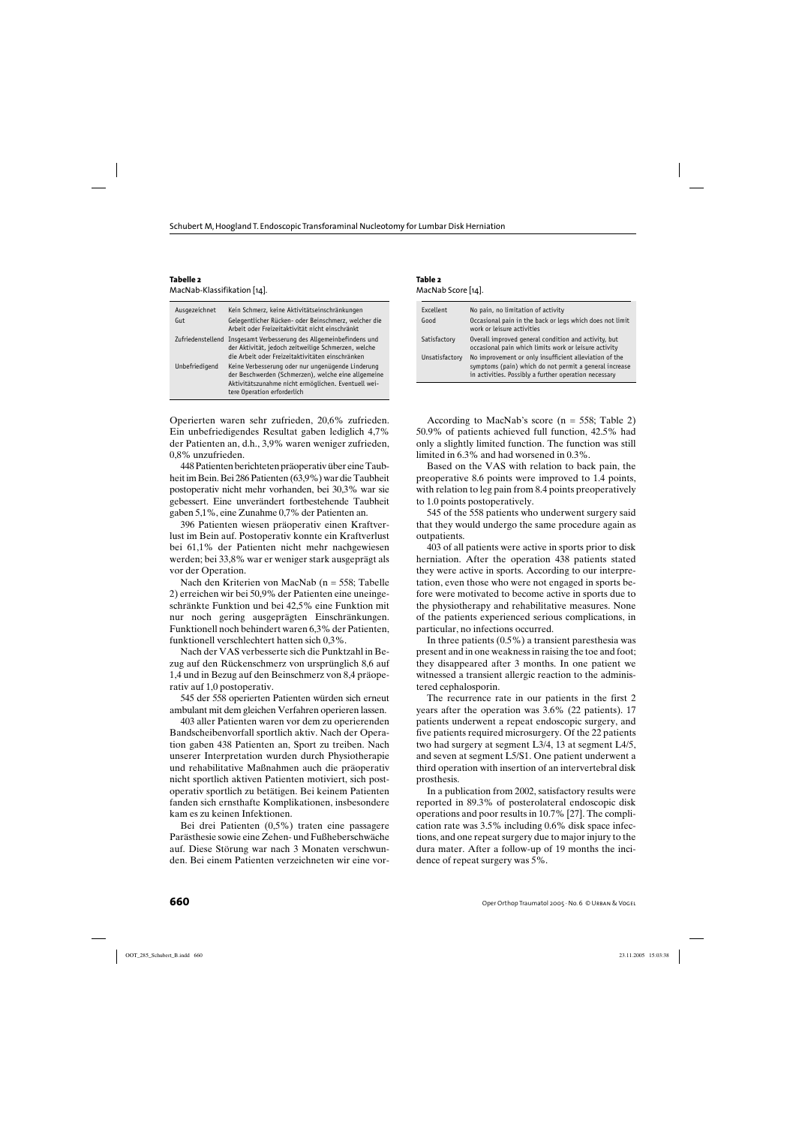| Tabelle 2                   |  |
|-----------------------------|--|
| MacNab-Klassifikation [14]. |  |

| Ausgezeichnet<br>Gut | Kein Schmerz, keine Aktivitätseinschränkungen<br>Gelegentlicher Rücken- oder Beinschmerz, welcher die<br>Arbeit oder Freizeitaktivität nicht einschränkt                                       |
|----------------------|------------------------------------------------------------------------------------------------------------------------------------------------------------------------------------------------|
|                      | Zufriedenstellend Insgesamt Verbesserung des Allgemeinbefindens und<br>der Aktivität, jedoch zeitweilige Schmerzen, welche<br>die Arbeit oder Freizeitaktivitäten einschränken                 |
| Unbefriedigend       | Keine Verbesserung oder nur ungenügende Linderung<br>der Beschwerden (Schmerzen), welche eine allgemeine<br>Aktivitätszunahme nicht ermöglichen. Eventuell wei-<br>tere Operation erforderlich |

Operierten waren sehr zufrieden, 20,6% zufrieden. Ein unbefriedigendes Resultat gaben lediglich 4,7% der Patienten an, d.h., 3,9% waren weniger zufrieden, 0,8% unzufrieden.

448 Patienten berichteten präoperativ über eine Taubheit im Bein. Bei 286 Patienten (63,9%) war die Taubheit postoperativ nicht mehr vorhanden, bei 30,3% war sie gebessert. Eine unverändert fortbestehende Taubheit gaben 5,1%, eine Zunahme 0,7% der Patienten an.

396 Patienten wiesen präoperativ einen Kraftverlust im Bein auf. Postoperativ konnte ein Kraftverlust bei 61,1% der Patienten nicht mehr nachgewiesen werden; bei 33,8% war er weniger stark ausgeprägt als vor der Operation.

Nach den Kriterien von MacNab (n = 558; Tabelle 2) erreichen wir bei 50,9% der Patienten eine uneingeschränkte Funktion und bei 42,5% eine Funktion mit nur noch gering ausgeprägten Einschränkungen. Funktionell noch behindert waren 6,3% der Patienten, funktionell verschlechtert hatten sich 0,3%.

Nach der VAS verbesserte sich die Punktzahl in Bezug auf den Rückenschmerz von ursprünglich 8,6 auf 1,4 und in Bezug auf den Beinschmerz von 8,4 präoperativ auf 1,0 postoperativ.

545 der 558 operierten Patienten würden sich erneut ambulant mit dem gleichen Verfahren operieren lassen.

403 aller Patienten waren vor dem zu operierenden Bandscheibenvorfall sportlich aktiv. Nach der Operation gaben 438 Patienten an, Sport zu treiben. Nach unserer Interpretation wurden durch Physiotherapie und rehabilitative Maßnahmen auch die präoperativ nicht sportlich aktiven Patienten motiviert, sich postoperativ sportlich zu betätigen. Bei keinem Patienten fanden sich ernsthafte Komplikationen, insbesondere kam es zu keinen Infektionen.

Bei drei Patienten (0,5%) traten eine passagere Parästhesie sowie eine Zehen- und Fußheberschwäche auf. Diese Störung war nach 3 Monaten verschwunden. Bei einem Patienten verzeichneten wir eine vor-

**Table 2** MacNab Score [14].

| Excellent      | No pain, no limitation of activity                                                                                                                                        |
|----------------|---------------------------------------------------------------------------------------------------------------------------------------------------------------------------|
| Good           | Occasional pain in the back or legs which does not limit<br>work or leisure activities                                                                                    |
| Satisfactory   | Overall improved general condition and activity, but<br>occasional pain which limits work or leisure activity                                                             |
| Unsatisfactory | No improvement or only insufficient alleviation of the<br>symptoms (pain) which do not permit a general increase<br>in activities. Possibly a further operation necessary |

According to MacNab's score ( $n = 558$ ; Table 2) 50.9% of patients achieved full function, 42.5% had only a slightly limited function. The function was still limited in 6.3% and had worsened in 0.3%.

Based on the VAS with relation to back pain, the preoperative 8.6 points were improved to 1.4 points, with relation to leg pain from 8.4 points preoperatively to 1.0 points postoperatively.

545 of the 558 patients who underwent surgery said that they would undergo the same procedure again as outpatients.

403 of all patients were active in sports prior to disk herniation. After the operation 438 patients stated they were active in sports. According to our interpretation, even those who were not engaged in sports before were motivated to become active in sports due to the physiotherapy and rehabilitative measures. None of the patients experienced serious complications, in particular, no infections occurred.

In three patients (0.5%) a transient paresthesia was present and in one weakness in raising the toe and foot; they disappeared after 3 months. In one patient we witnessed a transient allergic reaction to the administered cephalosporin.

The recurrence rate in our patients in the first 2 years after the operation was 3.6% (22 patients). 17 patients underwent a repeat endoscopic surgery, and five patients required microsurgery. Of the 22 patients two had surgery at segment L3/4, 13 at segment L4/5, and seven at segment L5/S1. One patient underwent a third operation with insertion of an intervertebral disk prosthesis.

In a publication from 2002, satisfactory results were reported in 89.3% of posterolateral endoscopic disk operations and poor results in 10.7% [27]. The complication rate was 3.5% including 0.6% disk space infections, and one repeat surgery due to major injury to the dura mater. After a follow-up of 19 months the incidence of repeat surgery was 5%.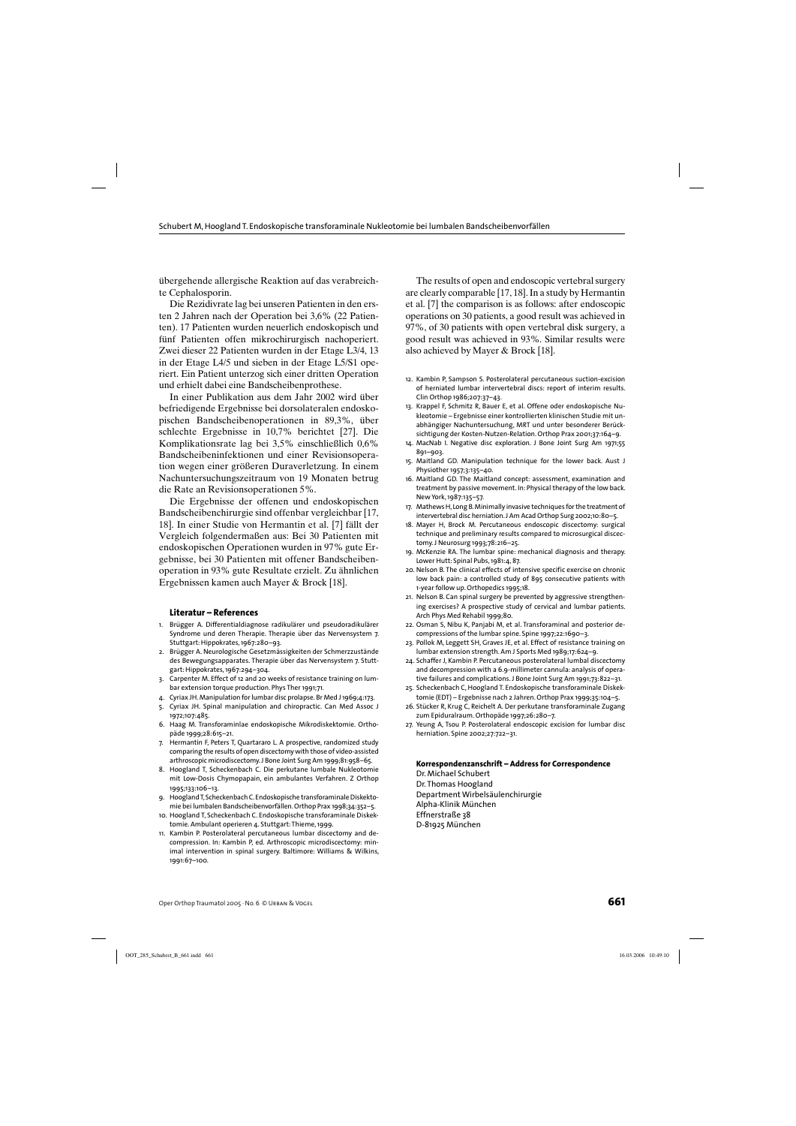übergehende allergische Reaktion auf das verabreichte Cephalosporin.

Die Rezidivrate lag bei unseren Patienten in den ersten 2 Jahren nach der Operation bei 3,6% (22 Patienten). 17 Patienten wurden neuerlich endoskopisch und fünf Patienten offen mikrochirurgisch nachoperiert. Zwei dieser 22 Patienten wurden in der Etage L3/4, 13 in der Etage L4/5 und sieben in der Etage L5/S1 operiert. Ein Patient unterzog sich einer dritten Operation und erhielt dabei eine Bandscheibenprothese.

In einer Publikation aus dem Jahr 2002 wird über befriedigende Ergebnisse bei dorsolateralen endoskopischen Bandscheibenoperationen in 89,3%, über schlechte Ergebnisse in 10,7% berichtet [27]. Die Komplikationsrate lag bei 3,5% einschließlich 0,6% Bandscheibeninfektionen und einer Revisionsoperation wegen einer größeren Duraverletzung. In einem Nachuntersuchungszeitraum von 19 Monaten betrug die Rate an Revisionsoperationen 5%.

Die Ergebnisse der offenen und endoskopischen Bandscheibenchirurgie sind offenbar vergleichbar [17, 18]. In einer Studie von Hermantin et al. [7] fällt der Vergleich folgendermaßen aus: Bei 30 Patienten mit endoskopischen Operationen wurden in 97% gute Ergebnisse, bei 30 Patienten mit offener Bandscheibenoperation in 93% gute Resultate erzielt. Zu ähnlichen Ergebnissen kamen auch Mayer & Brock [18].

#### **Literatur – References**

- 1. Brügger A. Differentialdiagnose radikulärer und pseudoradikulärer Syndrome und deren Therapie. Therapie über das Nervensystem 7. Stuttgart: Hippokrates, 1967:280–93.
- 2. Brügger A. Neurologische Gesetzmässigkeiten der Schmerzzustände des Bewegungsapparates. Therapie über das Nervensystem 7. Stuttgart: Hippokrates, 1967:294–304.
- 3. Carpenter M. Effect of 12 and 20 weeks of resistance training on lumbar extension torque production. Phys Ther 1991;71.
- 4. Cyriax JH. Manipulation for lumbar disc prolapse. Br Med J 1969;4:173.
- 5. Cyriax JH. Spinal manipulation and chiropractic. Can Med Assoc J 1972;107:485.
- 6. Haag M. Transforaminlae endoskopische Mikrodiskektomie. Orthopäde 1999;28:615–21.
- 7. Hermantin F, Peters T, Quartararo L. A prospective, randomized study comparing the results of open discectomy with those of video-assisted arthroscopic microdiscectomy. J Bone Joint Surg Am 1999;81:958–65.
- 8. Hoogland T, Scheckenbach C. Die perkutane lumbale Nukleotomie mit Low-Dosis Chymopapain, ein ambulantes Verfahren. Z Orthop 1995;133:106–13.
- 9. Hoogland T, Scheckenbach C. Endoskopische transforaminale Diskektomie bei lumbalen Bandscheibenvorfällen. Orthop Prax 1998;34:352–5.
- 10. Hoogland T, Scheckenbach C. Endoskopische transforaminale Diskektomie. Ambulant operieren 4. Stuttgart: Thieme, 1999.
- 11. Kambin P. Posterolateral percutaneous lumbar discectomy and decompression. In: Kambin P, ed. Arthroscopic microdiscectomy: minimal intervention in spinal surgery. Baltimore: Williams & Wilkins, 1991:67–100.

The results of open and endoscopic vertebral surgery are clearly comparable [17, 18]. In a study by Hermantin et al. [7] the comparison is as follows: after endoscopic operations on 30 patients, a good result was achieved in 97%, of 30 patients with open vertebral disk surgery, a good result was achieved in 93%. Similar results were also achieved by Mayer & Brock [18].

- 12. Kambin P, Sampson S. Posterolateral percutaneous suction-excision of herniated lumbar intervertebral discs: report of interim results. Clin Orthop 1986;207:37–43.
- 13. Krappel F, Schmitz R, Bauer E, et al. Offene oder endoskopische Nukleotomie – Ergebnisse einer kontrollierten klinischen Studie mit unabhängiger Nachuntersuchung, MRT und unter besonderer Berücksichtigung der Kosten-Nutzen-Relation. Orthop Prax 2001;37:164–9.
- 14. MacNab I. Negative disc exploration. J Bone Joint Surg Am 1971;55 891–903.
- 15. Maitland GD. Manipulation technique for the lower back. Aust J Physiother 1957;3:135–40.
- 16. Maitland GD. The Maitland concept: assessment, examination and treatment by passive movement. In: Physical therapy of the low back. New York, 1987:135–57.
- 17. Mathews H, Long B. Minimally invasive techniques for the treatment of intervertebral disc herniation. J Am Acad Orthop Surg 2002;10:80–5.
- 18. Mayer H, Brock M. Percutaneous endoscopic discectomy: surgical technique and preliminary results compared to microsurgical discectomy. J Neurosurg 1993;78:216–25.
- 19. McKenzie RA. The lumbar spine: mechanical diagnosis and therapy. Lower Hutt: Spinal Pubs, 1981:4, 87.
- 20. Nelson B. The clinical effects of intensive specific exercise on chronic low back pain: a controlled study of 895 consecutive patients with 1-year follow up. Orthopedics 1995;18.
- 21. Nelson B. Can spinal surgery be prevented by aggressive strengthening exercises? A prospective study of cervical and lumbar patients. Arch Phys Med Rehabil 1999;80.
- 22. Osman S, Nibu K, Panjabi M, et al. Transforaminal and posterior decompressions of the lumbar spine. Spine 1997;22:1690–3.
- 23. Pollok M, Leggett SH, Graves JE, et al. Effect of resistance training on lumbar extension strength. Am J Sports Med 1989;17:624–9.
- 24. Schaffer J, Kambin P. Percutaneous posterolateral lumbal discectomy and decompression with a 6.9-millimeter cannula: analysis of operative failures and complications. J Bone Joint Surg Am 1991;73:822–31.
- 25. Scheckenbach C, Hoogland T. Endoskopische transforaminale Diskektomie (EDT) – Ergebnisse nach 2 Jahren. Orthop Prax 1999;35:104–5.
- 26. Stücker R, Krug C, Reichelt A. Der perkutane transforaminale Zugang zum Epiduralraum. Orthopäde 1997;26:280–7.
- 27. Yeung A, Tsou P. Posterolateral endoscopic excision for lumbar disc herniation. Spine 2002;27:722–31.

#### **Korrespondenzanschrift – Address for Correspondence**

Dr. Michael Schubert Dr. Thomas Hoogland Department Wirbelsäulenchirurgie Alpha-Klinik München Effnerstraße 38 D-81925 München